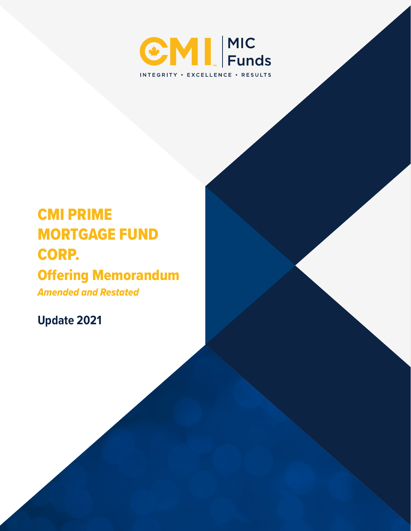

# CMI PRIME MORTGAGE FUND CORP.

## Offering Memorandum

*Amended and Restated*

**Update 2021**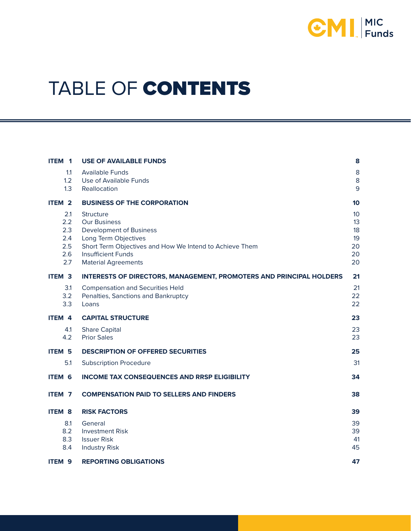

# TABLE OF CONTENTS

| ITEM 1                                        | <b>USE OF AVAILABLE FUNDS</b>                                                                                                                                                                                    | 8                                                   |
|-----------------------------------------------|------------------------------------------------------------------------------------------------------------------------------------------------------------------------------------------------------------------|-----------------------------------------------------|
| 1.1<br>1.2<br>1.3                             | <b>Available Funds</b><br>Use of Available Funds<br>Reallocation                                                                                                                                                 | $\bf 8$<br>8<br>9                                   |
| ITEM <sub>2</sub>                             | <b>BUSINESS OF THE CORPORATION</b>                                                                                                                                                                               | 10                                                  |
| 2.1<br>2.2<br>2.3<br>2.4<br>2.5<br>2.6<br>2.7 | Structure<br><b>Our Business</b><br><b>Development of Business</b><br>Long Term Objectives<br>Short Term Objectives and How We Intend to Achieve Them<br><b>Insufficient Funds</b><br><b>Material Agreements</b> | 10 <sup>1</sup><br>13<br>18<br>19<br>20<br>20<br>20 |
| <b>ITEM 3</b>                                 | <b>INTERESTS OF DIRECTORS, MANAGEMENT, PROMOTERS AND PRINCIPAL HOLDERS</b>                                                                                                                                       | 21                                                  |
| 3.1<br>3.2<br>3.3                             | <b>Compensation and Securities Held</b><br>Penalties, Sanctions and Bankruptcy<br>Loans                                                                                                                          | 21<br>22<br>22                                      |
| ITEM 4                                        | <b>CAPITAL STRUCTURE</b>                                                                                                                                                                                         | 23                                                  |
| 4.1<br>4.2                                    | <b>Share Capital</b><br><b>Prior Sales</b>                                                                                                                                                                       | 23<br>23                                            |
| <b>ITEM 5</b>                                 | <b>DESCRIPTION OF OFFERED SECURITIES</b>                                                                                                                                                                         | 25                                                  |
| 5.1                                           | <b>Subscription Procedure</b>                                                                                                                                                                                    | 31                                                  |
| <b>ITEM 6</b>                                 | <b>INCOME TAX CONSEQUENCES AND RRSP ELIGIBILITY</b>                                                                                                                                                              | 34                                                  |
| ITEM <sub>7</sub>                             | <b>COMPENSATION PAID TO SELLERS AND FINDERS</b>                                                                                                                                                                  | 38                                                  |
| <b>ITEM 8</b>                                 | <b>RISK FACTORS</b>                                                                                                                                                                                              | 39                                                  |
| 8.1<br>8.2<br>8.3<br>8.4                      | General<br><b>Investment Risk</b><br><b>Issuer Risk</b><br><b>Industry Risk</b>                                                                                                                                  | 39<br>39<br>41<br>45                                |
| ITEM <sub>9</sub>                             | <b>REPORTING OBLIGATIONS</b>                                                                                                                                                                                     | 47                                                  |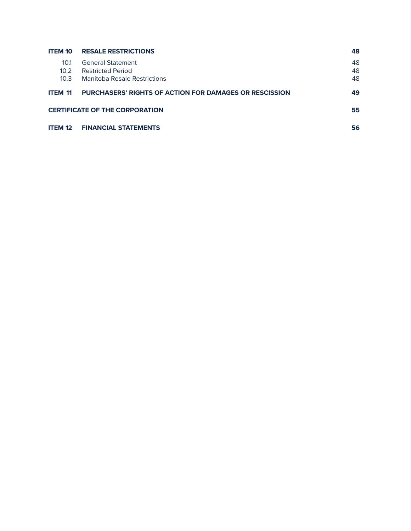| <b>ITEM 10</b>    | <b>RESALE RESTRICTIONS</b>                                    | 48 |
|-------------------|---------------------------------------------------------------|----|
| 10.1              | <b>General Statement</b>                                      | 48 |
| 10.2 <sup>2</sup> | <b>Restricted Period</b>                                      | 48 |
| 10.3 <sup>2</sup> | Manitoba Resale Restrictions                                  | 48 |
| <b>ITEM 11</b>    | <b>PURCHASERS' RIGHTS OF ACTION FOR DAMAGES OR RESCISSION</b> | 49 |
|                   | <b>CERTIFICATE OF THE CORPORATION</b>                         | 55 |
| <b>ITEM 12</b>    | <b>FINANCIAL STATEMENTS</b>                                   | 56 |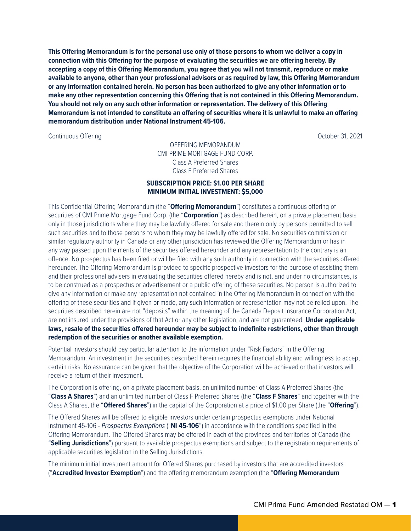**This Offering Memorandum is for the personal use only of those persons to whom we deliver a copy in connection with this Offering for the purpose of evaluating the securities we are offering hereby. By accepting a copy of this Offering Memorandum, you agree that you will not transmit, reproduce or make available to anyone, other than your professional advisors or as required by law, this Offering Memorandum or any information contained herein. No person has been authorized to give any other information or to make any other representation concerning this Offering that is not contained in this Offering Memorandum. You should not rely on any such other information or representation. The delivery of this Offering Memorandum is not intended to constitute an offering of securities where it is unlawful to make an offering memorandum distribution under National Instrument 45-106.**

Continuous Offering October 31, 2021

OFFERING MEMORANDUM CMI PRIME MORTGAGE FUND CORP. Class A Preferred Shares Class F Preferred Shares

#### **SUBSCRIPTION PRICE: \$1.00 PER SHARE MINIMUM INITIAL INVESTMENT: \$5,000**

This Confidential Offering Memorandum (the "**Offering Memorandum**") constitutes a continuous offering of securities of CMI Prime Mortgage Fund Corp. (the "**Corporation**") as described herein, on a private placement basis only in those jurisdictions where they may be lawfully offered for sale and therein only by persons permitted to sell such securities and to those persons to whom they may be lawfully offered for sale. No securities commission or similar regulatory authority in Canada or any other jurisdiction has reviewed the Offering Memorandum or has in any way passed upon the merits of the securities offered hereunder and any representation to the contrary is an offence. No prospectus has been filed or will be filed with any such authority in connection with the securities offered hereunder. The Offering Memorandum is provided to specific prospective investors for the purpose of assisting them and their professional advisers in evaluating the securities offered hereby and is not, and under no circumstances, is to be construed as a prospectus or advertisement or a public offering of these securities. No person is authorized to give any information or make any representation not contained in the Offering Memorandum in connection with the offering of these securities and if given or made, any such information or representation may not be relied upon. The securities described herein are not "deposits" within the meaning of the Canada Deposit Insurance Corporation Act, are not insured under the provisions of that Act or any other legislation, and are not guaranteed. **Under applicable laws, resale of the securities offered hereunder may be subject to indefinite restrictions, other than through redemption of the securities or another available exemption.**

Potential investors should pay particular attention to the information under "Risk Factors" in the Offering Memorandum. An investment in the securities described herein requires the financial ability and willingness to accept certain risks. No assurance can be given that the objective of the Corporation will be achieved or that investors will receive a return of their investment.

The Corporation is offering, on a private placement basis, an unlimited number of Class A Preferred Shares (the "**Class A Shares**") and an unlimited number of Class F Preferred Shares (the "**Class F Shares**" and together with the Class A Shares, the "**Offered Shares**") in the capital of the Corporation at a price of \$1.00 per Share (the "**Offering**").

The Offered Shares will be offered to eligible investors under certain prospectus exemptions under National Instrument 45-106 - *Prospectus Exemptions* ("**NI 45-106**") in accordance with the conditions specified in the Offering Memorandum. The Offered Shares may be offered in each of the provinces and territories of Canada (the "**Selling Jurisdictions**") pursuant to available prospectus exemptions and subject to the registration requirements of applicable securities legislation in the Selling Jurisdictions.

The minimum initial investment amount for Offered Shares purchased by investors that are accredited investors ("**Accredited Investor Exemption**") and the offering memorandum exemption (the "**Offering Memorandum**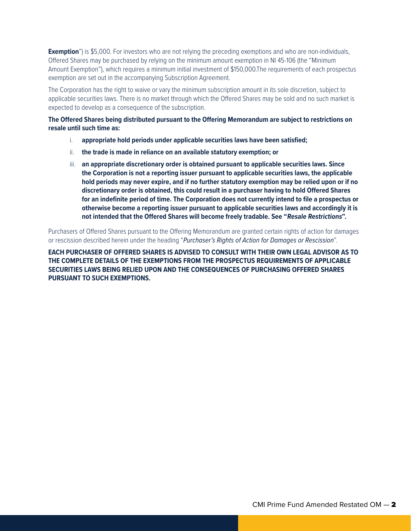**Exemption**") is \$5,000. For investors who are not relying the preceding exemptions and who are non-individuals, Offered Shares may be purchased by relying on the minimum amount exemption in NI 45-106 (the "Minimum Amount Exemption"), which requires a minimum initial investment of \$150,000.The requirements of each prospectus exemption are set out in the accompanying Subscription Agreement.

The Corporation has the right to waive or vary the minimum subscription amount in its sole discretion, subject to applicable securities laws. There is no market through which the Offered Shares may be sold and no such market is expected to develop as a consequence of the subscription.

**The Offered Shares being distributed pursuant to the Offering Memorandum are subject to restrictions on resale until such time as:** 

- i. **appropriate hold periods under applicable securities laws have been satisfied;**
- ii. **the trade is made in reliance on an available statutory exemption; or**
- iii. **an appropriate discretionary order is obtained pursuant to applicable securities laws. Since the Corporation is not a reporting issuer pursuant to applicable securities laws, the applicable hold periods may never expire, and if no further statutory exemption may be relied upon or if no discretionary order is obtained, this could result in a purchaser having to hold Offered Shares for an indefinite period of time. The Corporation does not currently intend to file a prospectus or otherwise become a reporting issuer pursuant to applicable securities laws and accordingly it is not intended that the Offered Shares will become freely tradable. See "Resale Restrictions".**

Purchasers of Offered Shares pursuant to the Offering Memorandum are granted certain rights of action for damages or rescission described herein under the heading "*Purchaser's Rights of Action for Damages or Rescission*".

**EACH PURCHASER OF OFFERED SHARES IS ADVISED TO CONSULT WITH THEIR OWN LEGAL ADVISOR AS TO THE COMPLETE DETAILS OF THE EXEMPTIONS FROM THE PROSPECTUS REQUIREMENTS OF APPLICABLE SECURITIES LAWS BEING RELIED UPON AND THE CONSEQUENCES OF PURCHASING OFFERED SHARES PURSUANT TO SUCH EXEMPTIONS.**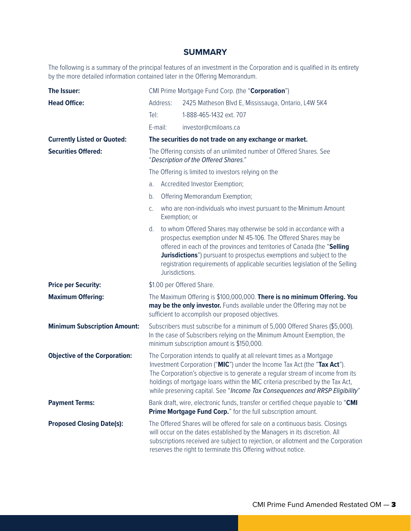### **SUMMARY**

The following is a summary of the principal features of an investment in the Corporation and is qualified in its entirety by the more detailed information contained later in the Offering Memorandum.

| The Issuer:                          | CMI Prime Mortgage Fund Corp. (the "Corporation")                                                           |                |                                                                                                                                                                                                                                                                                                                                                                                                       |
|--------------------------------------|-------------------------------------------------------------------------------------------------------------|----------------|-------------------------------------------------------------------------------------------------------------------------------------------------------------------------------------------------------------------------------------------------------------------------------------------------------------------------------------------------------------------------------------------------------|
| <b>Head Office:</b>                  | Address:                                                                                                    |                | 2425 Matheson Blvd E, Mississauga, Ontario, L4W 5K4                                                                                                                                                                                                                                                                                                                                                   |
|                                      | Tel:                                                                                                        |                | 1-888-465-1432 ext. 707                                                                                                                                                                                                                                                                                                                                                                               |
|                                      | E-mail:                                                                                                     |                | investor@cmiloans.ca                                                                                                                                                                                                                                                                                                                                                                                  |
| <b>Currently Listed or Quoted:</b>   |                                                                                                             |                | The securities do not trade on any exchange or market.                                                                                                                                                                                                                                                                                                                                                |
| <b>Securities Offered:</b>           | The Offering consists of an unlimited number of Offered Shares. See<br>"Description of the Offered Shares." |                |                                                                                                                                                                                                                                                                                                                                                                                                       |
|                                      |                                                                                                             |                | The Offering is limited to investors relying on the                                                                                                                                                                                                                                                                                                                                                   |
|                                      | a.                                                                                                          |                | Accredited Investor Exemption;                                                                                                                                                                                                                                                                                                                                                                        |
|                                      | b.                                                                                                          |                | Offering Memorandum Exemption;                                                                                                                                                                                                                                                                                                                                                                        |
|                                      | C.                                                                                                          |                | who are non-individuals who invest pursuant to the Minimum Amount<br>Exemption; or                                                                                                                                                                                                                                                                                                                    |
|                                      | d.                                                                                                          | Jurisdictions. | to whom Offered Shares may otherwise be sold in accordance with a<br>prospectus exemption under NI 45-106. The Offered Shares may be<br>offered in each of the provinces and territories of Canada (the "Selling<br>Jurisdictions") pursuant to prospectus exemptions and subject to the<br>registration requirements of applicable securities legislation of the Selling                             |
| <b>Price per Security:</b>           |                                                                                                             |                | \$1.00 per Offered Share.                                                                                                                                                                                                                                                                                                                                                                             |
| <b>Maximum Offering:</b>             |                                                                                                             |                | The Maximum Offering is \$100,000,000. There is no minimum Offering. You<br>may be the only investor. Funds available under the Offering may not be<br>sufficient to accomplish our proposed objectives.                                                                                                                                                                                              |
| <b>Minimum Subscription Amount:</b>  |                                                                                                             |                | Subscribers must subscribe for a minimum of 5,000 Offered Shares (\$5,000).<br>In the case of Subscribers relying on the Minimum Amount Exemption, the<br>minimum subscription amount is \$150,000.                                                                                                                                                                                                   |
| <b>Objective of the Corporation:</b> |                                                                                                             |                | The Corporation intends to qualify at all relevant times as a Mortgage<br>Investment Corporation ("MIC") under the Income Tax Act (the "Tax Act").<br>The Corporation's objective is to generate a regular stream of income from its<br>holdings of mortgage loans within the MIC criteria prescribed by the Tax Act,<br>while preserving capital. See "Income Tax Consequences and RRSP Eligibility" |
| <b>Payment Terms:</b>                |                                                                                                             |                | Bank draft, wire, electronic funds, transfer or certified cheque payable to "CMI<br>Prime Mortgage Fund Corp." for the full subscription amount.                                                                                                                                                                                                                                                      |
| <b>Proposed Closing Date(s):</b>     |                                                                                                             |                | The Offered Shares will be offered for sale on a continuous basis. Closings<br>will occur on the dates established by the Managers in its discretion. All<br>subscriptions received are subject to rejection, or allotment and the Corporation<br>reserves the right to terminate this Offering without notice.                                                                                       |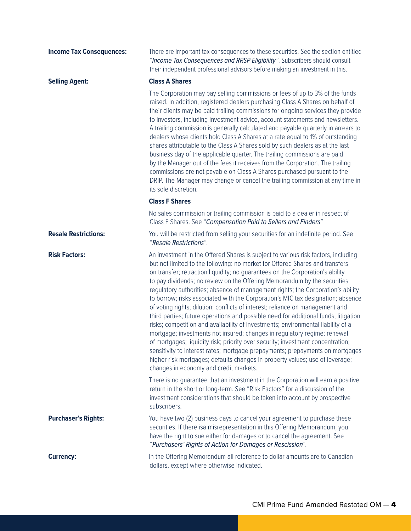| <b>Income Tax Consequences:</b> | There are important tax consequences to these securities. See the section entitled<br>"Income Tax Consequences and RRSP Eligibility". Subscribers should consult<br>their independent professional advisors before making an investment in this.                                                                                                                                                                                                                                                                                                                                                                                                                                                                                                                                                                                                                                                                                                                                                                                                                                                                                           |
|---------------------------------|--------------------------------------------------------------------------------------------------------------------------------------------------------------------------------------------------------------------------------------------------------------------------------------------------------------------------------------------------------------------------------------------------------------------------------------------------------------------------------------------------------------------------------------------------------------------------------------------------------------------------------------------------------------------------------------------------------------------------------------------------------------------------------------------------------------------------------------------------------------------------------------------------------------------------------------------------------------------------------------------------------------------------------------------------------------------------------------------------------------------------------------------|
| <b>Selling Agent:</b>           | <b>Class A Shares</b>                                                                                                                                                                                                                                                                                                                                                                                                                                                                                                                                                                                                                                                                                                                                                                                                                                                                                                                                                                                                                                                                                                                      |
|                                 | The Corporation may pay selling commissions or fees of up to 3% of the funds<br>raised. In addition, registered dealers purchasing Class A Shares on behalf of<br>their clients may be paid trailing commissions for ongoing services they provide<br>to investors, including investment advice, account statements and newsletters.<br>A trailing commission is generally calculated and payable quarterly in arrears to<br>dealers whose clients hold Class A Shares at a rate equal to 1% of outstanding<br>shares attributable to the Class A Shares sold by such dealers as at the last<br>business day of the applicable quarter. The trailing commissions are paid<br>by the Manager out of the fees it receives from the Corporation. The trailing<br>commissions are not payable on Class A Shares purchased pursuant to the<br>DRIP. The Manager may change or cancel the trailing commission at any time in<br>its sole discretion.                                                                                                                                                                                             |
|                                 | <b>Class F Shares</b>                                                                                                                                                                                                                                                                                                                                                                                                                                                                                                                                                                                                                                                                                                                                                                                                                                                                                                                                                                                                                                                                                                                      |
|                                 | No sales commission or trailing commission is paid to a dealer in respect of<br>Class F Shares. See "Compensation Paid to Sellers and Finders"                                                                                                                                                                                                                                                                                                                                                                                                                                                                                                                                                                                                                                                                                                                                                                                                                                                                                                                                                                                             |
| <b>Resale Restrictions:</b>     | You will be restricted from selling your securities for an indefinite period. See<br>"Resale Restrictions".                                                                                                                                                                                                                                                                                                                                                                                                                                                                                                                                                                                                                                                                                                                                                                                                                                                                                                                                                                                                                                |
| <b>Risk Factors:</b>            | An investment in the Offered Shares is subject to various risk factors, including<br>but not limited to the following: no market for Offered Shares and transfers<br>on transfer; retraction liquidity; no guarantees on the Corporation's ability<br>to pay dividends; no review on the Offering Memorandum by the securities<br>regulatory authorities; absence of management rights; the Corporation's ability<br>to borrow; risks associated with the Corporation's MIC tax designation; absence<br>of voting rights; dilution; conflicts of interest; reliance on management and<br>third parties; future operations and possible need for additional funds; litigation<br>risks; competition and availability of investments; environmental liability of a<br>mortgage; investments not insured; changes in regulatory regime; renewal<br>of mortgages; liquidity risk; priority over security; investment concentration;<br>sensitivity to interest rates; mortgage prepayments; prepayments on mortgages<br>higher risk mortgages; defaults changes in property values; use of leverage;<br>changes in economy and credit markets. |
|                                 | There is no guarantee that an investment in the Corporation will earn a positive<br>return in the short or long-term. See "Risk Factors" for a discussion of the<br>investment considerations that should be taken into account by prospective<br>subscribers.                                                                                                                                                                                                                                                                                                                                                                                                                                                                                                                                                                                                                                                                                                                                                                                                                                                                             |
| <b>Purchaser's Rights:</b>      | You have two (2) business days to cancel your agreement to purchase these<br>securities. If there isa misrepresentation in this Offering Memorandum, you<br>have the right to sue either for damages or to cancel the agreement. See<br>"Purchasers' Rights of Action for Damages or Rescission".                                                                                                                                                                                                                                                                                                                                                                                                                                                                                                                                                                                                                                                                                                                                                                                                                                          |
| <b>Currency:</b>                | In the Offering Memorandum all reference to dollar amounts are to Canadian<br>dollars, except where otherwise indicated.                                                                                                                                                                                                                                                                                                                                                                                                                                                                                                                                                                                                                                                                                                                                                                                                                                                                                                                                                                                                                   |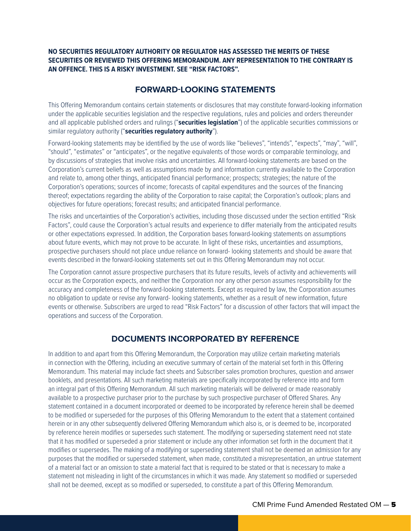#### **NO SECURITIES REGULATORY AUTHORITY OR REGULATOR HAS ASSESSED THE MERITS OF THESE SECURITIES OR REVIEWED THIS OFFERING MEMORANDUM. ANY REPRESENTATION TO THE CONTRARY IS AN OFFENCE. THIS IS A RISKY INVESTMENT. SEE "RISK FACTORS".**

## **FORWARD-LOOKING STATEMENTS**

This Offering Memorandum contains certain statements or disclosures that may constitute forward-looking information under the applicable securities legislation and the respective regulations, rules and policies and orders thereunder and all applicable published orders and rulings ("**securities legislation**") of the applicable securities commissions or similar regulatory authority ("**securities regulatory authority**").

Forward-looking statements may be identified by the use of words like "believes", "intends", "expects", "may", "will", "should", "estimates" or "anticipates", or the negative equivalents of those words or comparable terminology, and by discussions of strategies that involve risks and uncertainties. All forward-looking statements are based on the Corporation's current beliefs as well as assumptions made by and information currently available to the Corporation and relate to, among other things, anticipated financial performance; prospects; strategies; the nature of the Corporation's operations; sources of income; forecasts of capital expenditures and the sources of the financing thereof; expectations regarding the ability of the Corporation to raise capital; the Corporation's outlook; plans and objectives for future operations; forecast results; and anticipated financial performance.

The risks and uncertainties of the Corporation's activities, including those discussed under the section entitled "Risk Factors", could cause the Corporation's actual results and experience to differ materially from the anticipated results or other expectations expressed. In addition, the Corporation bases forward-looking statements on assumptions about future events, which may not prove to be accurate. In light of these risks, uncertainties and assumptions, prospective purchasers should not place undue reliance on forward- looking statements and should be aware that events described in the forward-looking statements set out in this Offering Memorandum may not occur.

The Corporation cannot assure prospective purchasers that its future results, levels of activity and achievements will occur as the Corporation expects, and neither the Corporation nor any other person assumes responsibility for the accuracy and completeness of the forward-looking statements. Except as required by law, the Corporation assumes no obligation to update or revise any forward- looking statements, whether as a result of new information, future events or otherwise. Subscribers are urged to read "Risk Factors" for a discussion of other factors that will impact the operations and success of the Corporation.

## **DOCUMENTS INCORPORATED BY REFERENCE**

In addition to and apart from this Offering Memorandum, the Corporation may utilize certain marketing materials in connection with the Offering, including an executive summary of certain of the material set forth in this Offering Memorandum. This material may include fact sheets and Subscriber sales promotion brochures, question and answer booklets, and presentations. All such marketing materials are specifically incorporated by reference into and form an integral part of this Offering Memorandum. All such marketing materials will be delivered or made reasonably available to a prospective purchaser prior to the purchase by such prospective purchaser of Offered Shares. Any statement contained in a document incorporated or deemed to be incorporated by reference herein shall be deemed to be modified or superseded for the purposes of this Offering Memorandum to the extent that a statement contained herein or in any other subsequently delivered Offering Memorandum which also is, or is deemed to be, incorporated by reference herein modifies or supersedes such statement. The modifying or superseding statement need not state that it has modified or superseded a prior statement or include any other information set forth in the document that it modifies or supersedes. The making of a modifying or superseding statement shall not be deemed an admission for any purposes that the modified or superseded statement, when made, constituted a misrepresentation, an untrue statement of a material fact or an omission to state a material fact that is required to be stated or that is necessary to make a statement not misleading in light of the circumstances in which it was made. Any statement so modified or superseded shall not be deemed, except as so modified or superseded, to constitute a part of this Offering Memorandum.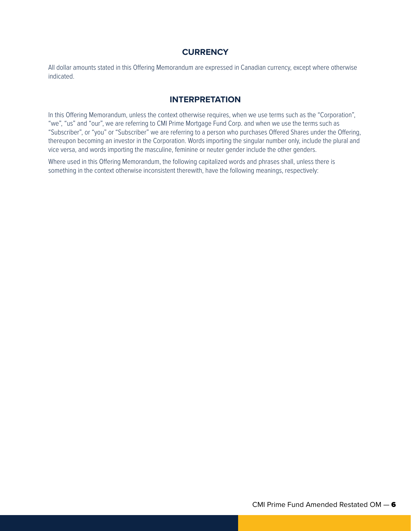## **CURRENCY**

All dollar amounts stated in this Offering Memorandum are expressed in Canadian currency, except where otherwise indicated.

### **INTERPRETATION**

In this Offering Memorandum, unless the context otherwise requires, when we use terms such as the "Corporation", "we", "us" and "our", we are referring to CMI Prime Mortgage Fund Corp. and when we use the terms such as "Subscriber", or "you" or "Subscriber" we are referring to a person who purchases Offered Shares under the Offering, thereupon becoming an investor in the Corporation. Words importing the singular number only, include the plural and vice versa, and words importing the masculine, feminine or neuter gender include the other genders.

Where used in this Offering Memorandum, the following capitalized words and phrases shall, unless there is something in the context otherwise inconsistent therewith, have the following meanings, respectively: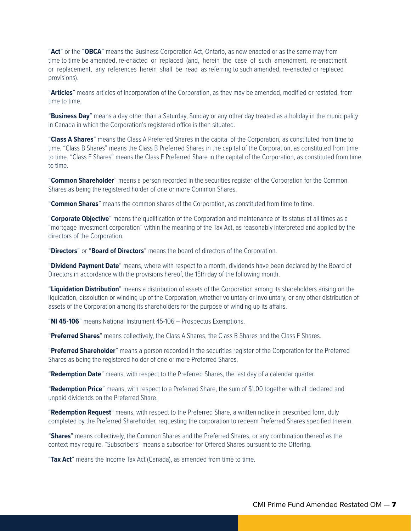"**Act**" or the "**OBCA**" means the Business Corporation Act, Ontario, as now enacted or as the same may from time to time be amended, re-enacted or replaced (and, herein the case of such amendment, re-enactment or replacement, any references herein shall be read as referring to such amended, re-enacted or replaced provisions).

"**Articles**" means articles of incorporation of the Corporation, as they may be amended, modified or restated, from time to time,

"**Business Day**" means a day other than a Saturday, Sunday or any other day treated as a holiday in the municipality in Canada in which the Corporation's registered office is then situated.

"**Class A Shares**" means the Class A Preferred Shares in the capital of the Corporation, as constituted from time to time. "Class B Shares" means the Class B Preferred Shares in the capital of the Corporation, as constituted from time to time. "Class F Shares" means the Class F Preferred Share in the capital of the Corporation, as constituted from time to time.

"**Common Shareholder**" means a person recorded in the securities register of the Corporation for the Common Shares as being the registered holder of one or more Common Shares.

"**Common Shares**" means the common shares of the Corporation, as constituted from time to time.

"**Corporate Objective**" means the qualification of the Corporation and maintenance of its status at all times as a "mortgage investment corporation" within the meaning of the Tax Act, as reasonably interpreted and applied by the directors of the Corporation.

"**Directors**" or "**Board of Directors**" means the board of directors of the Corporation.

"**Dividend Payment Date**" means, where with respect to a month, dividends have been declared by the Board of Directors in accordance with the provisions hereof, the 15th day of the following month.

"**Liquidation Distribution**" means a distribution of assets of the Corporation among its shareholders arising on the liquidation, dissolution or winding up of the Corporation, whether voluntary or involuntary, or any other distribution of assets of the Corporation among its shareholders for the purpose of winding up its affairs.

"**NI 45-106**" means National Instrument 45-106 – Prospectus Exemptions.

"**Preferred Shares**" means collectively, the Class A Shares, the Class B Shares and the Class F Shares.

"**Preferred Shareholder**" means a person recorded in the securities register of the Corporation for the Preferred Shares as being the registered holder of one or more Preferred Shares.

"**Redemption Date**" means, with respect to the Preferred Shares, the last day of a calendar quarter.

"**Redemption Price**" means, with respect to a Preferred Share, the sum of \$1.00 together with all declared and unpaid dividends on the Preferred Share.

"**Redemption Request**" means, with respect to the Preferred Share, a written notice in prescribed form, duly completed by the Preferred Shareholder, requesting the corporation to redeem Preferred Shares specified therein.

"**Shares**" means collectively, the Common Shares and the Preferred Shares, or any combination thereof as the context may require. "Subscribers" means a subscriber for Offered Shares pursuant to the Offering.

"**Tax Act**" means the Income Tax Act (Canada), as amended from time to time.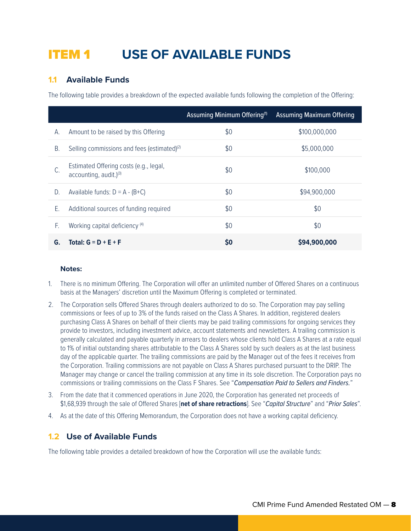## ITEM 1 **USE OF AVAILABLE FUNDS**

## **1.1 Available Funds**

The following table provides a breakdown of the expected available funds following the completion of the Offering:

|    |                                                                              | Assuming Minimum Offering <sup>(1)</sup> | <b>Assuming Maximum Offering</b> |
|----|------------------------------------------------------------------------------|------------------------------------------|----------------------------------|
| А. | Amount to be raised by this Offering                                         | \$0                                      | \$100,000,000                    |
| Β. | Selling commissions and fees (estimated) <sup>(2)</sup>                      | \$0                                      | \$5,000,000                      |
|    | Estimated Offering costs (e.g., legal,<br>accounting, audit.) <sup>(3)</sup> | \$0                                      | \$100,000                        |
| D. | Available funds: $D = A - (B+C)$                                             | \$0                                      | \$94,900,000                     |
| Ε. | Additional sources of funding required                                       | \$0                                      | \$0                              |
| F. | Working capital deficiency (4)                                               | \$0                                      | \$0                              |
| G. | Total: $G = D + E + F$                                                       | \$0                                      | \$94,900,000                     |

#### **Notes:**

- 1. There is no minimum Offering. The Corporation will offer an unlimited number of Offered Shares on a continuous basis at the Managers' discretion until the Maximum Offering is completed or terminated.
- 2. The Corporation sells Offered Shares through dealers authorized to do so. The Corporation may pay selling commissions or fees of up to 3% of the funds raised on the Class A Shares. In addition, registered dealers purchasing Class A Shares on behalf of their clients may be paid trailing commissions for ongoing services they provide to investors, including investment advice, account statements and newsletters. A trailing commission is generally calculated and payable quarterly in arrears to dealers whose clients hold Class A Shares at a rate equal to 1% of initial outstanding shares attributable to the Class A Shares sold by such dealers as at the last business day of the applicable quarter. The trailing commissions are paid by the Manager out of the fees it receives from the Corporation. Trailing commissions are not payable on Class A Shares purchased pursuant to the DRIP. The Manager may change or cancel the trailing commission at any time in its sole discretion. The Corporation pays no commissions or trailing commissions on the Class F Shares. See "*Compensation Paid to Sellers and Finders.*"
- 3. From the date that it commenced operations in June 2020, the Corporation has generated net proceeds of \$1,68,939 through the sale of Offered Shares [**net of share retractions**]. See "*Capital Structure*" and "*Prior Sales*".
- 4. As at the date of this Offering Memorandum, the Corporation does not have a working capital deficiency.

### **1.2 Use of Available Funds**

The following table provides a detailed breakdown of how the Corporation will use the available funds: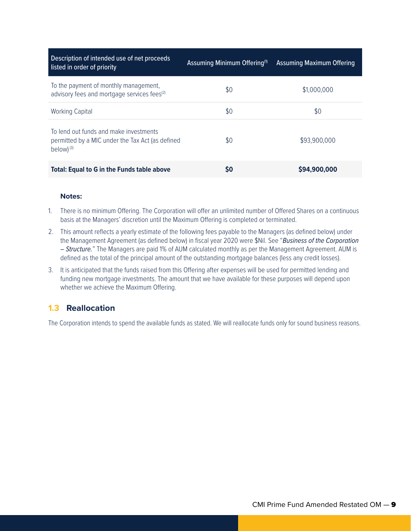| Description of intended use of net proceeds<br>listed in order of priority                                    | Assuming Minimum Offering <sup>(1)</sup> | Assuming Maximum Offering |
|---------------------------------------------------------------------------------------------------------------|------------------------------------------|---------------------------|
| To the payment of monthly management,<br>advisory fees and mortgage services fees <sup>(2)</sup>              | \$0                                      | \$1,000,000               |
| Working Capital                                                                                               | \$0                                      | \$0                       |
| To lend out funds and make investments<br>permitted by a MIC under the Tax Act (as defined<br>below $)^{(3)}$ | \$0                                      | \$93,900,000              |
| <b>Total: Equal to G in the Funds table above</b>                                                             | S <sub>0</sub>                           | \$94,900,000              |

#### **Notes:**

- 1. There is no minimum Offering. The Corporation will offer an unlimited number of Offered Shares on a continuous basis at the Managers' discretion until the Maximum Offering is completed or terminated.
- 2. This amount reflects a yearly estimate of the following fees payable to the Managers (as defined below) under the Management Agreement (as defined below) in fiscal year 2020 were \$Nil. See "*Business of the Corporation – Structure.*" The Managers are paid 1% of AUM calculated monthly as per the Management Agreement. AUM is defined as the total of the principal amount of the outstanding mortgage balances (less any credit losses).
- 3. It is anticipated that the funds raised from this Offering after expenses will be used for permitted lending and funding new mortgage investments. The amount that we have available for these purposes will depend upon whether we achieve the Maximum Offering.

## **1.3 Reallocation**

The Corporation intends to spend the available funds as stated. We will reallocate funds only for sound business reasons.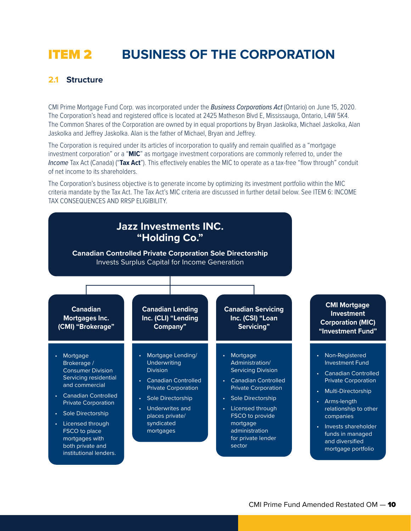## ITEM 2 **BUSINESS OF THE CORPORATION**

### **2.1 Structure**

CMI Prime Mortgage Fund Corp. was incorporated under the *Business Corporations Act* (Ontario) on June 15, 2020. The Corporation's head and registered office is located at 2425 Matheson Blvd E, Mississauga, Ontario, L4W 5K4. The Common Shares of the Corporation are owned by in equal proportions by Bryan Jaskolka, Michael Jaskolka, Alan Jaskolka and Jeffrey Jaskolka. Alan is the father of Michael, Bryan and Jeffrey.

The Corporation is required under its articles of incorporation to qualify and remain qualified as a "mortgage investment corporation" or a "**MIC**" as mortgage investment corporations are commonly referred to, under the *Income* Tax Act (Canada) ("**Tax Act**"). This effectively enables the MIC to operate as a tax-free "flow through" conduit of net income to its shareholders.

The Corporation's business objective is to generate income by optimizing its investment portfolio within the MIC criteria mandate by the Tax Act. The Tax Act's MIC criteria are discussed in further detail below. See ITEM 6: INCOME TAX CONSEQUENCES AND RRSP ELIGIBILITY.

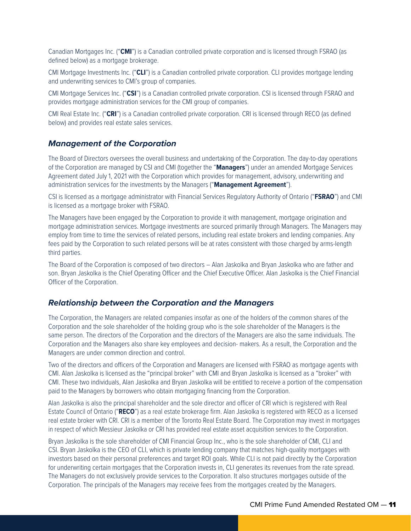Canadian Mortgages Inc. ("**CMI**") is a Canadian controlled private corporation and is licensed through FSRAO (as defined below) as a mortgage brokerage.

CMI Mortgage Investments Inc. ("**CLI**") is a Canadian controlled private corporation. CLI provides mortgage lending and underwriting services to CMI's group of companies.

CMI Mortgage Services Inc. ("**CSI**") is a Canadian controlled private corporation. CSI is licensed through FSRAO and provides mortgage administration services for the CMI group of companies.

CMI Real Estate Inc. ("**CRI**") is a Canadian controlled private corporation. CRI is licensed through RECO (as defined below) and provides real estate sales services.

#### *Management of the Corporation*

The Board of Directors oversees the overall business and undertaking of the Corporation. The day-to-day operations of the Corporation are managed by CSI and CMI (together the "**Managers**") under an amended Mortgage Services Agreement dated July 1, 2021 with the Corporation which provides for management, advisory, underwriting and administration services for the investments by the Managers ("**Management Agreement**").

CSI is licensed as a mortgage administrator with Financial Services Regulatory Authority of Ontario ("**FSRAO**") and CMI is licensed as a mortgage broker with FSRAO.

The Managers have been engaged by the Corporation to provide it with management, mortgage origination and mortgage administration services. Mortgage investments are sourced primarily through Managers. The Managers may employ from time to time the services of related persons, including real estate brokers and lending companies. Any fees paid by the Corporation to such related persons will be at rates consistent with those charged by arms-length third parties.

The Board of the Corporation is composed of two directors – Alan Jaskolka and Bryan Jaskolka who are father and son. Bryan Jaskolka is the Chief Operating Officer and the Chief Executive Officer. Alan Jaskolka is the Chief Financial Officer of the Corporation.

#### *Relationship between the Corporation and the Managers*

The Corporation, the Managers are related companies insofar as one of the holders of the common shares of the Corporation and the sole shareholder of the holding group who is the sole shareholder of the Managers is the same person. The directors of the Corporation and the directors of the Managers are also the same individuals. The Corporation and the Managers also share key employees and decision- makers. As a result, the Corporation and the Managers are under common direction and control.

Two of the directors and officers of the Corporation and Managers are licensed with FSRAO as mortgage agents with CMI. Alan Jaskolka is licensed as the "principal broker" with CMI and Bryan Jaskolka is licensed as a "broker" with CMI. These two individuals, Alan Jaskolka and Bryan Jaskolka will be entitled to receive a portion of the compensation paid to the Managers by borrowers who obtain mortgaging financing from the Corporation.

Alan Jaskolka is also the principal shareholder and the sole director and officer of CRI which is registered with Real Estate Council of Ontario ("**RECO**") as a real estate brokerage firm. Alan Jaskolka is registered with RECO as a licensed real estate broker with CRI. CRI is a member of the Toronto Real Estate Board. The Corporation may invest in mortgages in respect of which Messieur Jaskolka or CRI has provided real estate asset acquisition services to the Corporation.

Bryan Jaskolka is the sole shareholder of CMI Financial Group Inc., who is the sole shareholder of CMI, CLI and CSI. Bryan Jaskolka is the CEO of CLI, which is private lending company that matches high-quality mortgages with investors based on their personal preferences and target ROI goals. While CLI is not paid directly by the Corporation for underwriting certain mortgages that the Corporation invests in, CLI generates its revenues from the rate spread. The Managers do not exclusively provide services to the Corporation. It also structures mortgages outside of the Corporation. The principals of the Managers may receive fees from the mortgages created by the Managers.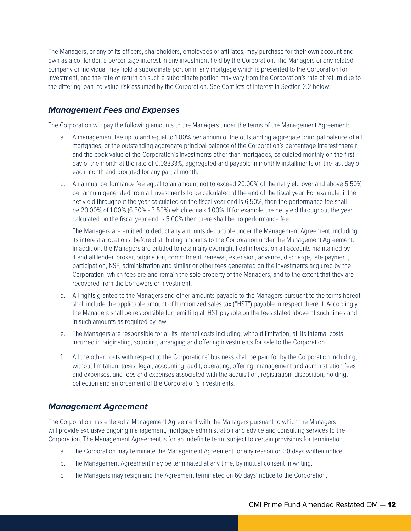The Managers, or any of its officers, shareholders, employees or affiliates, may purchase for their own account and own as a co- lender, a percentage interest in any investment held by the Corporation. The Managers or any related company or individual may hold a subordinate portion in any mortgage which is presented to the Corporation for investment, and the rate of return on such a subordinate portion may vary from the Corporation's rate of return due to the differing loan- to-value risk assumed by the Corporation. See Conflicts of Interest in Section 2.2 below.

## *Management Fees and Expenses*

The Corporation will pay the following amounts to the Managers under the terms of the Management Agreement:

- a. A management fee up to and equal to 1.00% per annum of the outstanding aggregate principal balance of all mortgages, or the outstanding aggregate principal balance of the Corporation's percentage interest therein, and the book value of the Corporation's investments other than mortgages, calculated monthly on the first day of the month at the rate of 0.08333%, aggregated and payable in monthly installments on the last day of each month and prorated for any partial month.
- b. An annual performance fee equal to an amount not to exceed 20.00% of the net yield over and above 5.50% per annum generated from all investments to be calculated at the end of the fiscal year. For example, if the net yield throughout the year calculated on the fiscal year end is 6.50%, then the performance fee shall be 20.00% of 1.00% (6.50% - 5.50%) which equals 1.00%. If for example the net yield throughout the year calculated on the fiscal year end is 5.00% then there shall be no performance fee.
- c. The Managers are entitled to deduct any amounts deductible under the Management Agreement, including its interest allocations, before distributing amounts to the Corporation under the Management Agreement. In addition, the Managers are entitled to retain any overnight float interest on all accounts maintained by it and all lender, broker, origination, commitment, renewal, extension, advance, discharge, late payment, participation, NSF, administration and similar or other fees generated on the investments acquired by the Corporation, which fees are and remain the sole property of the Managers, and to the extent that they are recovered from the borrowers or investment.
- d. All rights granted to the Managers and other amounts payable to the Managers pursuant to the terms hereof shall include the applicable amount of harmonized sales tax ("HST") payable in respect thereof. Accordingly, the Managers shall be responsible for remitting all HST payable on the fees stated above at such times and in such amounts as required by law.
- e. The Managers are responsible for all its internal costs including, without limitation, all its internal costs incurred in originating, sourcing, arranging and offering investments for sale to the Corporation.
- f. All the other costs with respect to the Corporations' business shall be paid for by the Corporation including, without limitation, taxes, legal, accounting, audit, operating, offering, management and administration fees and expenses, and fees and expenses associated with the acquisition, registration, disposition, holding, collection and enforcement of the Corporation's investments.

## *Management Agreement*

The Corporation has entered a Management Agreement with the Managers pursuant to which the Managers will provide exclusive ongoing management, mortgage administration and advice and consulting services to the Corporation. The Management Agreement is for an indefinite term, subject to certain provisions for termination.

- a. The Corporation may terminate the Management Agreement for any reason on 30 days written notice.
- b. The Management Agreement may be terminated at any time, by mutual consent in writing.
- c. The Managers may resign and the Agreement terminated on 60 days' notice to the Corporation.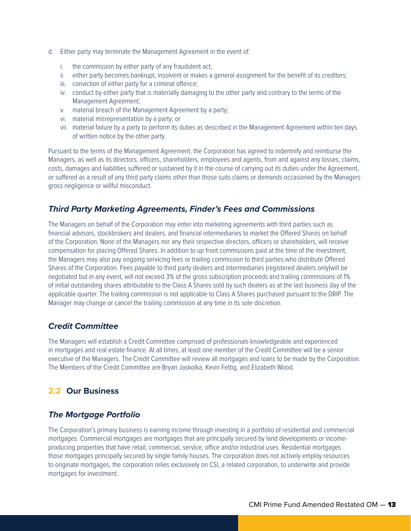- d. Either party may terminate the Management Agreement in the event of:
	- i. the commission by either party of any fraudulent act;
	- ii. either party becomes bankrupt, insolvent or makes a general assignment for the benefit of its creditors;
	- iii. conviction of either party for a criminal offence;
	- iv. conduct by either party that is materially damaging to the other party and contrary to the terms of the Management Agreement;
	- v. material breach of the Management Agreement by a party;
	- vi. material misrepresentation by a party; or
	- vii. material failure by a party to perform its duties as described in the Management Agreement within ten days of written notice by the other party.

Pursuant to the terms of the Management Agreement, the Corporation has agreed to indemnify and reimburse the Managers, as well as its directors, officers, shareholders, employees and agents, from and against any losses, claims, costs, damages and liabilities suffered or sustained by it in the course of carrying out its duties under the Agreement, or suffered as a result of any third party claims other than those suits claims or demands occasioned by the Managers gross negligence or willful misconduct.

## *Third Party Marketing Agreements, Finder's Fees and Commissions*

The Managers on behalf of the Corporation may enter into marketing agreements with third parties such as financial advisors, stockbrokers and dealers, and financial intermediaries to market the Offered Shares on behalf of the Corporation. None of the Managers nor any their respective directors, officers or shareholders, will receive compensation for placing Offered Shares. In addition to up front commissions paid at the time of the investment, the Managers may also pay ongoing servicing fees or trailing commission to third parties who distribute Offered Shares of the Corporation. Fees payable to third party dealers and intermediaries (registered dealers only)will be negotiated but in any event, will not exceed 3% of the gross subscription proceeds and trailing commissions of 1% of initial outstanding shares attributable to the Class A Shares sold by such dealers as at the last business day of the applicable quarter. The trailing commission is not applicable to Class A Shares purchased pursuant to the DRIP. The Manager may change or cancel the trailing commission at any time in its sole discretion.

## *Credit Committee*

The Managers will establish a Credit Committee comprised of professionals knowledgeable and experienced in mortgages and real estate finance. At all times, at least one member of the Credit Committee will be a senior executive of the Managers. The Credit Committee will review all mortgages and loans to be made by the Corporation. The Members of the Credit Committee are Bryan Jaskolka, Kevin Fettig, and Elizabeth Wood.

## **2.2 Our Business**

## *The Mortgage Portfolio*

The Corporation's primary business is earning income through investing in a portfolio of residential and commercial mortgages. Commercial mortgages are mortgages that are principally secured by land developments or incomeproducing properties that have retail, commercial, service, office and/or industrial uses. Residential mortgages those mortgages principally secured by single family houses. The corporation does not actively employ resources to originate mortgages, the corporation relies exclusively on CSI, a related corporation, to underwrite and provide mortgages for investment.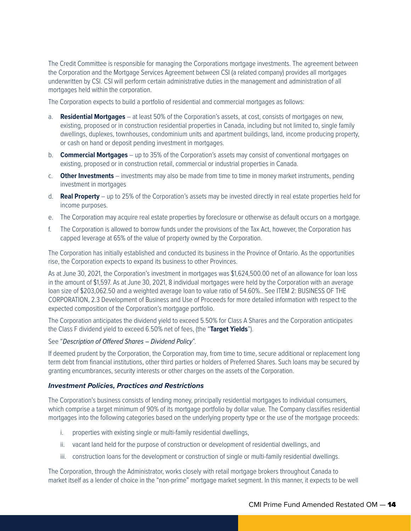The Credit Committee is responsible for managing the Corporations mortgage investments. The agreement between the Corporation and the Mortgage Services Agreement between CSI (a related company) provides all mortgages underwritten by CSI. CSI will perform certain administrative duties in the management and administration of all mortgages held within the corporation.

The Corporation expects to build a portfolio of residential and commercial mortgages as follows:

- a. **Residential Mortgages** at least 50% of the Corporation's assets, at cost, consists of mortgages on new, existing, proposed or in construction residential properties in Canada, including but not limited to, single family dwellings, duplexes, townhouses, condominium units and apartment buildings, land, income producing property, or cash on hand or deposit pending investment in mortgages.
- b. **Commercial Mortgages** up to 35% of the Corporation's assets may consist of conventional mortgages on existing, proposed or in construction retail, commercial or industrial properties in Canada.
- c. **Other Investments** investments may also be made from time to time in money market instruments, pending investment in mortgages
- d. **Real Property** up to 25% of the Corporation's assets may be invested directly in real estate properties held for income purposes.
- e. The Corporation may acquire real estate properties by foreclosure or otherwise as default occurs on a mortgage.
- f. The Corporation is allowed to borrow funds under the provisions of the Tax Act, however, the Corporation has capped leverage at 65% of the value of property owned by the Corporation.

The Corporation has initially established and conducted its business in the Province of Ontario. As the opportunities rise, the Corporation expects to expand its business to other Provinces.

As at June 30, 2021, the Corporation's investment in mortgages was \$1,624,500.00 net of an allowance for loan loss in the amount of \$1,597. As at June 30, 2021, 8 individual mortgages were held by the Corporation with an average loan size of \$203,062.50 and a weighted average loan to value ratio of 54.60%.. See ITEM 2: BUSINESS OF THE CORPORATION, 2.3 Development of Business and Use of Proceeds for more detailed information with respect to the expected composition of the Corporation's mortgage portfolio.

The Corporation anticipates the dividend yield to exceed 5.50% for Class A Shares and the Corporation anticipates the Class F dividend yield to exceed 6.50% net of fees, (the "**Target Yields**").

#### See "*Description of Offered Shares – Dividend Policy*".

If deemed prudent by the Corporation, the Corporation may, from time to time, secure additional or replacement long term debt from financial institutions, other third parties or holders of Preferred Shares. Such loans may be secured by granting encumbrances, security interests or other charges on the assets of the Corporation.

#### *Investment Policies, Practices and Restrictions*

The Corporation's business consists of lending money, principally residential mortgages to individual consumers, which comprise a target minimum of 90% of its mortgage portfolio by dollar value. The Company classifies residential mortgages into the following categories based on the underlying property type or the use of the mortgage proceeds:

- i. properties with existing single or multi-family residential dwellings,
- ii. vacant land held for the purpose of construction or development of residential dwellings, and
- iii. construction loans for the development or construction of single or multi-family residential dwellings.

The Corporation, through the Administrator, works closely with retail mortgage brokers throughout Canada to market itself as a lender of choice in the "non-prime" mortgage market segment. In this manner, it expects to be well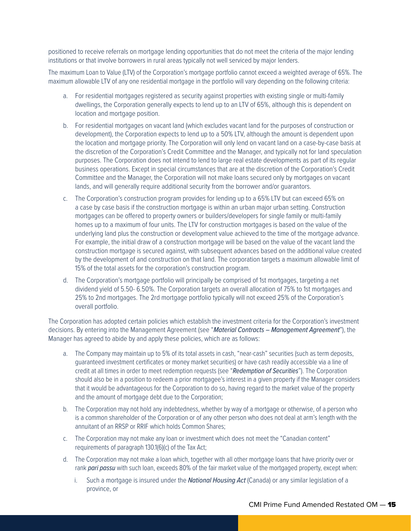positioned to receive referrals on mortgage lending opportunities that do not meet the criteria of the major lending institutions or that involve borrowers in rural areas typically not well serviced by major lenders.

The maximum Loan to Value (LTV) of the Corporation's mortgage portfolio cannot exceed a weighted average of 65%. The maximum allowable LTV of any one residential mortgage in the portfolio will vary depending on the following criteria:

- a. For residential mortgages registered as security against properties with existing single or multi-family dwellings, the Corporation generally expects to lend up to an LTV of 65%, although this is dependent on location and mortgage position.
- b. For residential mortgages on vacant land (which excludes vacant land for the purposes of construction or development), the Corporation expects to lend up to a 50% LTV, although the amount is dependent upon the location and mortgage priority. The Corporation will only lend on vacant land on a case-by-case basis at the discretion of the Corporation's Credit Committee and the Manager, and typically not for land speculation purposes. The Corporation does not intend to lend to large real estate developments as part of its regular business operations. Except in special circumstances that are at the discretion of the Corporation's Credit Committee and the Manager, the Corporation will not make loans secured only by mortgages on vacant lands, and will generally require additional security from the borrower and/or guarantors.
- c. The Corporation's construction program provides for lending up to a 65% LTV but can exceed 65% on a case by case basis if the construction mortgage is within an urban major urban setting. Construction mortgages can be offered to property owners or builders/developers for single family or multi-family homes up to a maximum of four units. The LTV for construction mortgages is based on the value of the underlying land plus the construction or development value achieved to the time of the mortgage advance. For example, the initial draw of a construction mortgage will be based on the value of the vacant land the construction mortgage is secured against, with subsequent advances based on the additional value created by the development of and construction on that land. The corporation targets a maximum allowable limit of 15% of the total assets for the corporation's construction program.
- d. The Corporation's mortgage portfolio will principally be comprised of 1st mortgages, targeting a net dividend yield of 5.50- 6.50%. The Corporation targets an overall allocation of 75% to 1st mortgages and 25% to 2nd mortgages. The 2rd mortgage portfolio typically will not exceed 25% of the Corporation's overall portfolio.

The Corporation has adopted certain policies which establish the investment criteria for the Corporation's investment decisions. By entering into the Management Agreement (see "*Material Contracts – Management Agreement*"), the Manager has agreed to abide by and apply these policies, which are as follows:

- a. The Company may maintain up to 5% of its total assets in cash, "near-cash" securities (such as term deposits, guaranteed investment certificates or money market securities) or have cash readily accessible via a line of credit at all times in order to meet redemption requests (see "*Redemption of Securities*"). The Corporation should also be in a position to redeem a prior mortgagee's interest in a given property if the Manager considers that it would be advantageous for the Corporation to do so, having regard to the market value of the property and the amount of mortgage debt due to the Corporation;
- b. The Corporation may not hold any indebtedness, whether by way of a mortgage or otherwise, of a person who is a common shareholder of the Corporation or of any other person who does not deal at arm's length with the annuitant of an RRSP or RRIF which holds Common Shares;
- c. The Corporation may not make any loan or investment which does not meet the "Canadian content" requirements of paragraph 130.1(6)(c) of the Tax Act;
- d. The Corporation may not make a loan which, together with all other mortgage loans that have priority over or rank *pari passu* with such loan, exceeds 80% of the fair market value of the mortgaged property, except when:
	- i. Such a mortgage is insured under the *National Housing Act* (Canada) or any similar legislation of a province, or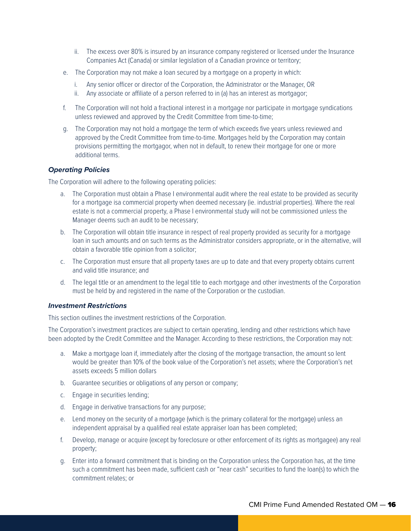- ii. The excess over 80% is insured by an insurance company registered or licensed under the Insurance Companies Act (Canada) or similar legislation of a Canadian province or territory;
- e. The Corporation may not make a loan secured by a mortgage on a property in which:
	- i. Any senior officer or director of the Corporation, the Administrator or the Manager, OR
	- ii. Any associate or affiliate of a person referred to in (a) has an interest as mortgagor;
- f. The Corporation will not hold a fractional interest in a mortgage nor participate in mortgage syndications unless reviewed and approved by the Credit Committee from time-to-time;
- g. The Corporation may not hold a mortgage the term of which exceeds five years unless reviewed and approved by the Credit Committee from time-to-time. Mortgages held by the Corporation may contain provisions permitting the mortgagor, when not in default, to renew their mortgage for one or more additional terms.

#### *Operating Policies*

The Corporation will adhere to the following operating policies:

- a. The Corporation must obtain a Phase I environmental audit where the real estate to be provided as security for a mortgage isa commercial property when deemed necessary (ie. industrial properties). Where the real estate is not a commercial property, a Phase I environmental study will not be commissioned unless the Manager deems such an audit to be necessary;
- b. The Corporation will obtain title insurance in respect of real property provided as security for a mortgage loan in such amounts and on such terms as the Administrator considers appropriate, or in the alternative, will obtain a favorable title opinion from a solicitor;
- c. The Corporation must ensure that all property taxes are up to date and that every property obtains current and valid title insurance; and
- d. The legal title or an amendment to the legal title to each mortgage and other investments of the Corporation must be held by and registered in the name of the Corporation or the custodian.

#### *Investment Restrictions*

This section outlines the investment restrictions of the Corporation.

The Corporation's investment practices are subject to certain operating, lending and other restrictions which have been adopted by the Credit Committee and the Manager. According to these restrictions, the Corporation may not:

- a. Make a mortgage loan if, immediately after the closing of the mortgage transaction, the amount so lent would be greater than 10% of the book value of the Corporation's net assets; where the Corporation's net assets exceeds 5 million dollars
- b. Guarantee securities or obligations of any person or company;
- c. Engage in securities lending;
- d. Engage in derivative transactions for any purpose;
- e. Lend money on the security of a mortgage (which is the primary collateral for the mortgage) unless an independent appraisal by a qualified real estate appraiser loan has been completed;
- f. Develop, manage or acquire (except by foreclosure or other enforcement of its rights as mortgagee) any real property;
- g. Enter into a forward commitment that is binding on the Corporation unless the Corporation has, at the time such a commitment has been made, sufficient cash or "near cash" securities to fund the loan(s) to which the commitment relates; or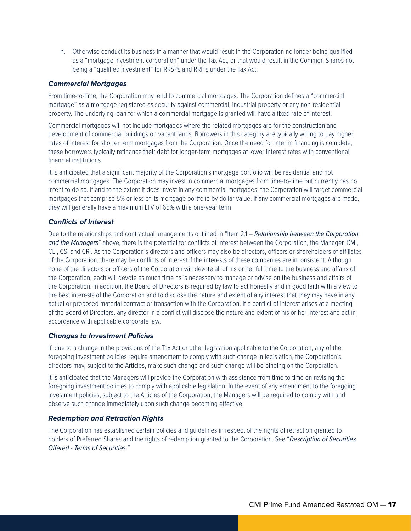h. Otherwise conduct its business in a manner that would result in the Corporation no longer being qualified as a "mortgage investment corporation" under the Tax Act, or that would result in the Common Shares not being a "qualified investment" for RRSPs and RRIFs under the Tax Act.

#### *Commercial Mortgages*

From time-to-time, the Corporation may lend to commercial mortgages. The Corporation defines a "commercial mortgage" as a mortgage registered as security against commercial, industrial property or any non-residential property. The underlying loan for which a commercial mortgage is granted will have a fixed rate of interest.

Commercial mortgages will not include mortgages where the related mortgages are for the construction and development of commercial buildings on vacant lands. Borrowers in this category are typically willing to pay higher rates of interest for shorter term mortgages from the Corporation. Once the need for interim financing is complete, these borrowers typically refinance their debt for longer-term mortgages at lower interest rates with conventional financial institutions.

It is anticipated that a significant majority of the Corporation's mortgage portfolio will be residential and not commercial mortgages. The Corporation may invest in commercial mortgages from time-to-time but currently has no intent to do so. If and to the extent it does invest in any commercial mortgages, the Corporation will target commercial mortgages that comprise 5% or less of its mortgage portfolio by dollar value. If any commercial mortgages are made, they will generally have a maximum LTV of 65% with a one-year term

#### *Conflicts of Interest*

Due to the relationships and contractual arrangements outlined in "Item 2.1 – *Relationship between the Corporation and the Managers*" above, there is the potential for conflicts of interest between the Corporation, the Manager, CMI, CLI, CSI and CRI. As the Corporation's directors and officers may also be directors, officers or shareholders of affiliates of the Corporation, there may be conflicts of interest if the interests of these companies are inconsistent. Although none of the directors or officers of the Corporation will devote all of his or her full time to the business and affairs of the Corporation, each will devote as much time as is necessary to manage or advise on the business and affairs of the Corporation. In addition, the Board of Directors is required by law to act honestly and in good faith with a view to the best interests of the Corporation and to disclose the nature and extent of any interest that they may have in any actual or proposed material contract or transaction with the Corporation. If a conflict of interest arises at a meeting of the Board of Directors, any director in a conflict will disclose the nature and extent of his or her interest and act in accordance with applicable corporate law.

#### *Changes to Investment Policies*

If, due to a change in the provisions of the Tax Act or other legislation applicable to the Corporation, any of the foregoing investment policies require amendment to comply with such change in legislation, the Corporation's directors may, subject to the Articles, make such change and such change will be binding on the Corporation.

It is anticipated that the Managers will provide the Corporation with assistance from time to time on revising the foregoing investment policies to comply with applicable legislation. In the event of any amendment to the foregoing investment policies, subject to the Articles of the Corporation, the Managers will be required to comply with and observe such change immediately upon such change becoming effective.

#### *Redemption and Retraction Rights*

The Corporation has established certain policies and guidelines in respect of the rights of retraction granted to holders of Preferred Shares and the rights of redemption granted to the Corporation. See "*Description of Securities Offered - Terms of Securities.*"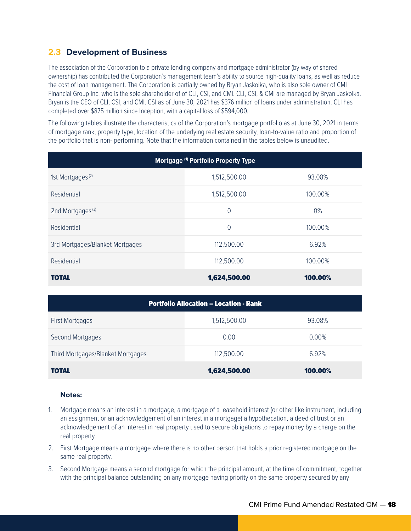## **2.3 Development of Business**

The association of the Corporation to a private lending company and mortgage administrator (by way of shared ownership) has contributed the Corporation's management team's ability to source high-quality loans, as well as reduce the cost of loan management. The Corporation is partially owned by Bryan Jaskolka, who is also sole owner of CMI Financial Group Inc. who is the sole shareholder of of CLI, CSI, and CMI. CLI, CSI, & CMI are managed by Bryan Jaskolka. Bryan is the CEO of CLI, CSI, and CMI. CSI as of June 30, 2021 has \$376 million of loans under administration. CLI has completed over \$875 million since Inception, with a capital loss of \$594,000.

The following tables illustrate the characteristics of the Corporation's mortgage portfolio as at June 30, 2021 in terms of mortgage rank, property type, location of the underlying real estate security, loan-to-value ratio and proportion of the portfolio that is non- performing. Note that the information contained in the tables below is unaudited.

| Mortgage (1) Portfolio Property Type |              |         |  |  |
|--------------------------------------|--------------|---------|--|--|
| 1st Mortgages <sup>(2)</sup>         | 1,512,500.00 | 93.08%  |  |  |
| Residential                          | 1,512,500.00 | 100.00% |  |  |
| 2nd Mortgages <sup>(3)</sup>         | 0            | 0%      |  |  |
| Residential                          | $\Omega$     | 100.00% |  |  |
| 3rd Mortgages/Blanket Mortgages      | 112,500.00   | 6.92%   |  |  |
| Residential                          | 112,500.00   | 100.00% |  |  |
| <b>TOTAL</b>                         | 1,624,500.00 | 100.00% |  |  |

| <b>Portfolio Allocation – Location - Rank</b> |              |          |  |  |
|-----------------------------------------------|--------------|----------|--|--|
| <b>First Mortgages</b>                        | 1,512,500.00 | 93.08%   |  |  |
| Second Mortgages                              | 0.00         | $0.00\%$ |  |  |
| Third Mortgages/Blanket Mortgages             | 112,500.00   | 6.92%    |  |  |
| <b>TOTAL</b>                                  | 1,624,500.00 | 100.00%  |  |  |

#### **Notes:**

- 1. Mortgage means an interest in a mortgage, a mortgage of a leasehold interest (or other like instrument, including an assignment or an acknowledgement of an interest in a mortgage) a hypothecation, a deed of trust or an acknowledgement of an interest in real property used to secure obligations to repay money by a charge on the real property.
- 2. First Mortgage means a mortgage where there is no other person that holds a prior registered mortgage on the same real property.
- 3. Second Mortgage means a second mortgage for which the principal amount, at the time of commitment, together with the principal balance outstanding on any mortgage having priority on the same property secured by any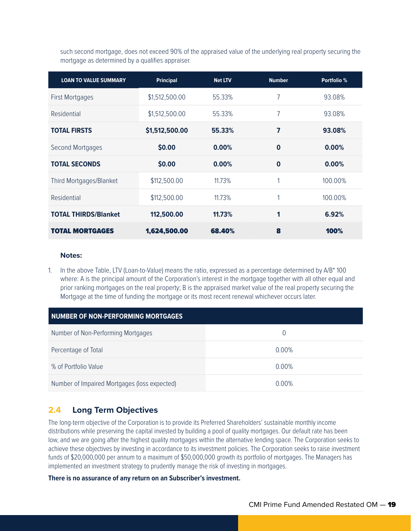such second mortgage, does not exceed 90% of the appraised value of the underlying real property securing the mortgage as determined by a qualifies appraiser.

| <b>LOAN TO VALUE SUMMARY</b> | <b>Principal</b> | <b>Net LTV</b> | <b>Number</b> | Portfolio % |
|------------------------------|------------------|----------------|---------------|-------------|
| <b>First Mortgages</b>       | \$1,512,500.00   | 55.33%         | 7             | 93.08%      |
| Residential                  | \$1,512,500.00   | 55.33%         | 7             | 93.08%      |
| <b>TOTAL FIRSTS</b>          | \$1,512,500.00   | 55.33%         | 7             | 93.08%      |
| Second Mortgages             | \$0.00           | 0.00%          | $\bf{0}$      | 0.00%       |
| <b>TOTAL SECONDS</b>         | \$0.00           | 0.00%          | $\bf{0}$      | 0.00%       |
| Third Mortgages/Blanket      | \$112,500.00     | 11.73%         | 1             | 100.00%     |
| Residential                  | \$112,500.00     | 11.73%         | 1             | 100.00%     |
| <b>TOTAL THIRDS/Blanket</b>  | 112,500.00       | 11.73%         | 1             | 6.92%       |
| <b>TOTAL MORTGAGES</b>       | 1,624,500.00     | 68.40%         | 8             | 100%        |

#### **Notes:**

1. In the above Table, LTV (Loan-to-Value) means the ratio, expressed as a percentage determined by A/B\* 100 where: A is the principal amount of the Corporation's interest in the mortgage together with all other equal and prior ranking mortgages on the real property; B is the appraised market value of the real property securing the Mortgage at the time of funding the mortgage or its most recent renewal whichever occurs later.

| <b>NUMBER OF NON-PERFORMING MORTGAGES</b>    |                  |  |  |  |
|----------------------------------------------|------------------|--|--|--|
| Number of Non-Performing Mortgages           | $\left( \right)$ |  |  |  |
| Percentage of Total                          | $0.00\%$         |  |  |  |
| % of Portfolio Value                         | $0.00\%$         |  |  |  |
| Number of Impaired Mortgages (loss expected) | 0.00%            |  |  |  |

## **2.4 Long Term Objectives**

The long-term objective of the Corporation is to provide its Preferred Shareholders' sustainable monthly income distributions while preserving the capital invested by building a pool of quality mortgages. Our default rate has been low, and we are going after the highest quality mortgages within the alternative lending space. The Corporation seeks to achieve these objectives by investing in accordance to its investment policies. The Corporation seeks to raise investment funds of \$20,000,000 per annum to a maximum of \$50,000,000 growth its portfolio of mortgages. The Managers has implemented an investment strategy to prudently manage the risk of investing in mortgages.

#### **There is no assurance of any return on an Subscriber's investment.**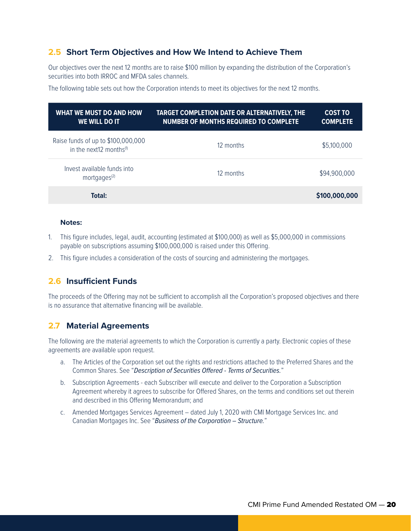## **2.5 Short Term Objectives and How We Intend to Achieve Them**

Our objectives over the next 12 months are to raise \$100 million by expanding the distribution of the Corporation's securities into both IRROC and MFDA sales channels.

The following table sets out how the Corporation intends to meet its objectives for the next 12 months.

| WHAT WE MUST DO AND HOW<br><b>WE WILL DO IT</b>                           | TARGET COMPLETION DATE OR ALTERNATIVELY, THE<br><b>NUMBER OF MONTHS REQUIRED TO COMPLETE</b> | <b>COST TO</b><br><b>COMPLETE</b> |
|---------------------------------------------------------------------------|----------------------------------------------------------------------------------------------|-----------------------------------|
| Raise funds of up to \$100,000,000<br>in the next12 months <sup>(1)</sup> | 12 months                                                                                    | \$5,100,000                       |
| Invest available funds into<br>mortgages <sup>(2)</sup>                   | 12 months                                                                                    | \$94,900,000                      |
| Total:                                                                    |                                                                                              | \$100,000,000                     |

#### **Notes:**

- 1. This figure includes, legal, audit, accounting (estimated at \$100,000) as well as \$5,000,000 in commissions payable on subscriptions assuming \$100,000,000 is raised under this Offering.
- 2. This figure includes a consideration of the costs of sourcing and administering the mortgages.

## **2.6 Insufficient Funds**

The proceeds of the Offering may not be sufficient to accomplish all the Corporation's proposed objectives and there is no assurance that alternative financing will be available.

## **2.7 Material Agreements**

The following are the material agreements to which the Corporation is currently a party. Electronic copies of these agreements are available upon request.

- a. The Articles of the Corporation set out the rights and restrictions attached to the Preferred Shares and the Common Shares. See "*Description of Securities Offered - Terms of Securities.*"
- b. Subscription Agreements each Subscriber will execute and deliver to the Corporation a Subscription Agreement whereby it agrees to subscribe for Offered Shares, on the terms and conditions set out therein and described in this Offering Memorandum; and
- c. Amended Mortgages Services Agreement dated July 1, 2020 with CMI Mortgage Services Inc. and Canadian Mortgages Inc. See "*Business of the Corporation – Structure.*"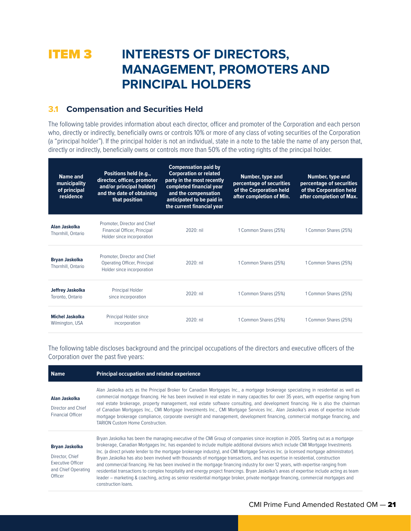## **ITEM 3 INTERESTS OF DIRECTORS, MANAGEMENT, PROMOTERS AND PRINCIPAL HOLDERS**

## **3.1 Compensation and Securities Held**

The following table provides information about each director, officer and promoter of the Corporation and each person who, directly or indirectly, beneficially owns or controls 10% or more of any class of voting securities of the Corporation (a "principal holder"). If the principal holder is not an individual, state in a note to the table the name of any person that, directly or indirectly, beneficially owns or controls more than 50% of the voting rights of the principal holder.

| Name and<br>municipality<br>of principal<br>residence | Positions held (e.g.,<br>director, officer, promoter<br>and/or principal holder)<br>and the date of obtaining<br>that position | <b>Compensation paid by</b><br><b>Corporation or related</b><br>party in the most recently<br>completed financial year<br>and the compensation<br>anticipated to be paid in<br>the current financial year | <b>Number, type and</b><br>percentage of securities<br>of the Corporation held<br>after completion of Min. | <b>Number, type and</b><br>percentage of securities<br>of the Corporation held<br>after completion of Max. |
|-------------------------------------------------------|--------------------------------------------------------------------------------------------------------------------------------|-----------------------------------------------------------------------------------------------------------------------------------------------------------------------------------------------------------|------------------------------------------------------------------------------------------------------------|------------------------------------------------------------------------------------------------------------|
| Alan Jaskolka<br>Thornhill, Ontario                   | Promoter. Director and Chief<br>Financial Officer, Principal<br>Holder since incorporation                                     | $2020$ nil                                                                                                                                                                                                | 1 Common Shares (25%)                                                                                      | 1 Common Shares (25%)                                                                                      |
| <b>Bryan Jaskolka</b><br>Thornhill, Ontario           | Promoter, Director and Chief<br>Operating Officer, Principal<br>Holder since incorporation                                     | $2020:$ nil                                                                                                                                                                                               | 1 Common Shares (25%)                                                                                      | 1 Common Shares (25%)                                                                                      |
| Jeffrey Jaskolka<br>Toronto, Ontario                  | Principal Holder<br>since incorporation                                                                                        | $2020$ nil                                                                                                                                                                                                | 1 Common Shares (25%)                                                                                      | 1 Common Shares (25%)                                                                                      |
| <b>Michel Jaskolka</b><br>Wilmington, USA             | Principal Holder since<br>incorporation                                                                                        | $2020$ nil                                                                                                                                                                                                | 1 Common Shares (25%)                                                                                      | 1 Common Shares (25%)                                                                                      |

The following table discloses background and the principal occupations of the directors and executive officers of the Corporation over the past five years:

| <b>Name</b>                                                                                            | <b>Principal occupation and related experience</b>                                                                                                                                                                                                                                                                                                                                                                                                                                                                                                                                                                                                                                                                                                                                                                                                                                                                                                                                          |
|--------------------------------------------------------------------------------------------------------|---------------------------------------------------------------------------------------------------------------------------------------------------------------------------------------------------------------------------------------------------------------------------------------------------------------------------------------------------------------------------------------------------------------------------------------------------------------------------------------------------------------------------------------------------------------------------------------------------------------------------------------------------------------------------------------------------------------------------------------------------------------------------------------------------------------------------------------------------------------------------------------------------------------------------------------------------------------------------------------------|
| Alan Jaskolka<br>Director and Chief<br><b>Financial Officer</b>                                        | Alan Jaskolka acts as the Principal Broker for Canadian Mortgages Inc., a mortgage brokerage specializing in residential as well as<br>commercial mortgage financing. He has been involved in real estate in many capacities for over 35 years, with expertise ranging from<br>real estate brokerage, property management, real estate software consulting, and development financing. He is also the chairman<br>of Canadian Mortgages Inc., CMI Mortgage Investments Inc., CMI Mortgage Services Inc., Alan Jaskolka's areas of expertise include<br>mortgage brokerage compliance, corporate oversight and management, development financing, commercial mortgage financing, and<br><b>TARION Custom Home Construction.</b>                                                                                                                                                                                                                                                              |
| <b>Bryan Jaskolka</b><br>Director, Chief<br><b>Executive Officer</b><br>and Chief Operating<br>Officer | Bryan Jaskolka has been the managing executive of the CMI Group of companies since inception in 2005. Starting out as a mortgage<br>brokerage, Canadian Mortgages Inc. has expanded to include multiple additional divisions which include CMI Mortgage Investments<br>Inc. (a direct private lender to the mortgage brokerage industry), and CMI Mortgage Services Inc. (a licensed mortgage administrator).<br>Bryan Jaskolka has also been involved with thousands of mortgage transactions, and has expertise in residential, construction<br>and commercial financing. He has been involved in the mortgage financing industry for over 12 years, with expertise ranging from<br>residential transactions to complex hospitality and energy project financings. Bryan Jaskolka's areas of expertise include acting as team<br>leader – marketing & coaching, acting as senior residential mortgage broker, private mortgage financing, commercial mortgages and<br>construction loans. |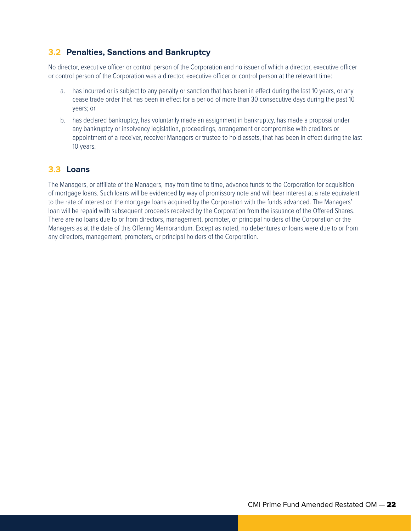## **3.2 Penalties, Sanctions and Bankruptcy**

No director, executive officer or control person of the Corporation and no issuer of which a director, executive officer or control person of the Corporation was a director, executive officer or control person at the relevant time:

- a. has incurred or is subject to any penalty or sanction that has been in effect during the last 10 years, or any cease trade order that has been in effect for a period of more than 30 consecutive days during the past 10 years; or
- b. has declared bankruptcy, has voluntarily made an assignment in bankruptcy, has made a proposal under any bankruptcy or insolvency legislation, proceedings, arrangement or compromise with creditors or appointment of a receiver, receiver Managers or trustee to hold assets, that has been in effect during the last 10 years.

## **3.3 Loans**

The Managers, or affiliate of the Managers, may from time to time, advance funds to the Corporation for acquisition of mortgage loans. Such loans will be evidenced by way of promissory note and will bear interest at a rate equivalent to the rate of interest on the mortgage loans acquired by the Corporation with the funds advanced. The Managers' loan will be repaid with subsequent proceeds received by the Corporation from the issuance of the Offered Shares. There are no loans due to or from directors, management, promoter, or principal holders of the Corporation or the Managers as at the date of this Offering Memorandum. Except as noted, no debentures or loans were due to or from any directors, management, promoters, or principal holders of the Corporation.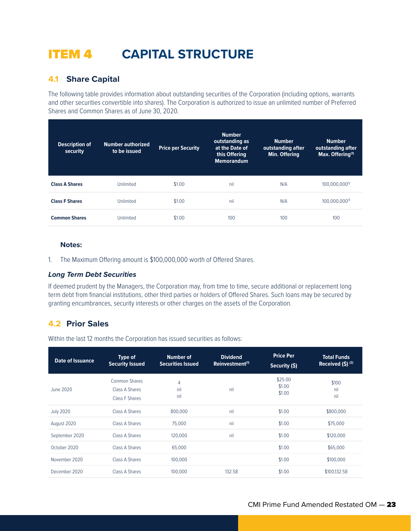## ITEM 4 **CAPITAL STRUCTURE**

## **4.1 Share Capital**

The following table provides information about outstanding securities of the Corporation (including options, warrants and other securities convertible into shares). The Corporation is authorized to issue an unlimited number of Preferred Shares and Common Shares as of June 30, 2020.

| <b>Description of</b><br>security | <b>Number authorized</b><br>to be issued | <b>Price per Security</b> | <b>Number</b><br>outstanding as<br>at the Date of<br>this Offering<br><b>Memorandum</b> | <b>Number</b><br>outstanding after<br>Min. Offering | <b>Number</b><br>outstanding after<br>Max. Offering <sup>(1)</sup> |
|-----------------------------------|------------------------------------------|---------------------------|-----------------------------------------------------------------------------------------|-----------------------------------------------------|--------------------------------------------------------------------|
| <b>Class A Shares</b>             | Unlimited                                | \$1.00                    | nil                                                                                     | N/A                                                 | 100.000.000(1)                                                     |
| <b>Class F Shares</b>             | Unlimited                                | \$1.00                    | nil                                                                                     | N/A                                                 | 100,000,000(1)                                                     |
| <b>Common Shares</b>              | Unlimited                                | \$1.00                    | 100                                                                                     | 100                                                 | 100                                                                |

#### **Notes:**

1. The Maximum Offering amount is \$100,000,000 worth of Offered Shares.

#### *Long Term Debt Securities*

If deemed prudent by the Managers, the Corporation may, from time to time, secure additional or replacement long term debt from financial institutions, other third parties or holders of Offered Shares. Such loans may be secured by granting encumbrances, security interests or other charges on the assets of the Corporation.

## **4.2 Prior Sales**

Within the last 12 months the Corporation has issued securities as follows:

| <b>Date of Issuance</b> | Type of<br><b>Security Issued</b>                 | <b>Number of</b><br><b>Securities Issued</b> | <b>Dividend</b><br>Reinvestment <sup>(1)</sup> | <b>Price Per</b><br>Security (\$) | <b>Total Funds</b><br>Received $(S)$ <sup>(2)</sup> |
|-------------------------|---------------------------------------------------|----------------------------------------------|------------------------------------------------|-----------------------------------|-----------------------------------------------------|
| June 2020               | Common Shares<br>Class A Shares<br>Class F Shares | 4<br>nil<br>nil                              | nil                                            | \$25.00<br>\$1.00<br>\$1.00       | \$100<br>nil<br>nil                                 |
| <b>July 2020</b>        | Class A Shares                                    | 800,000                                      | nil                                            | \$1.00                            | \$800,000                                           |
| August 2020             | Class A Shares                                    | 75,000                                       | nil                                            | \$1.00                            | \$75,000                                            |
| September 2020          | Class A Shares                                    | 120,000                                      | nil                                            | \$1.00                            | \$120,000                                           |
| October 2020            | Class A Shares                                    | 65,000                                       |                                                | \$1.00                            | \$65,000                                            |
| November 2020           | Class A Shares                                    | 100,000                                      |                                                | \$1.00                            | \$100,000                                           |
| December 2020           | Class A Shares                                    | 100,000                                      | 132.58                                         | \$1.00                            | \$100.132.58                                        |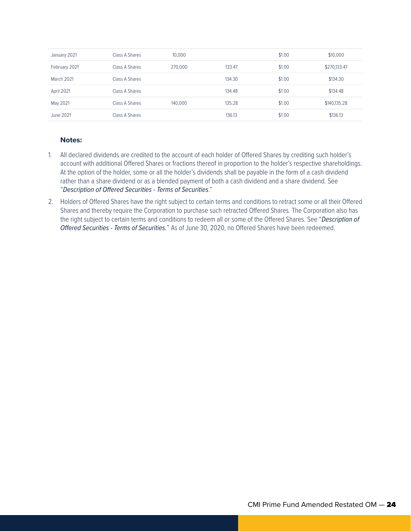| January 2021  | Class A Shares | 10,000  |        | \$1.00 | \$10,000     |
|---------------|----------------|---------|--------|--------|--------------|
| February 2021 | Class A Shares | 270,000 | 133.47 | \$1.00 | \$270,133.47 |
| March 2021    | Class A Shares |         | 134.30 | \$1.00 | \$134.30     |
| April 2021    | Class A Shares |         | 134.48 | \$1.00 | \$134.48     |
| May 2021      | Class A Shares | 140,000 | 135.28 | \$1.00 | \$140,135.28 |
| June 2021     | Class A Shares |         | 136.13 | \$1.00 | \$136.13     |

#### **Notes:**

- 1. All declared dividends are credited to the account of each holder of Offered Shares by crediting such holder's account with additional Offered Shares or fractions thereof in proportion to the holder's respective shareholdings. At the option of the holder, some or all the holder's dividends shall be payable in the form of a cash dividend rather than a share dividend or as a blended payment of both a cash dividend and a share dividend. See "*Description of Offered Securities - Terms of Securities*."
- 2. Holders of Offered Shares have the right subject to certain terms and conditions to retract some or all their Offered Shares and thereby require the Corporation to purchase such retracted Offered Shares. The Corporation also has the right subject to certain terms and conditions to redeem all or some of the Offered Shares. See "*Description of Offered Securities - Terms of Securities.*" As of June 30, 2020, no Offered Shares have been redeemed.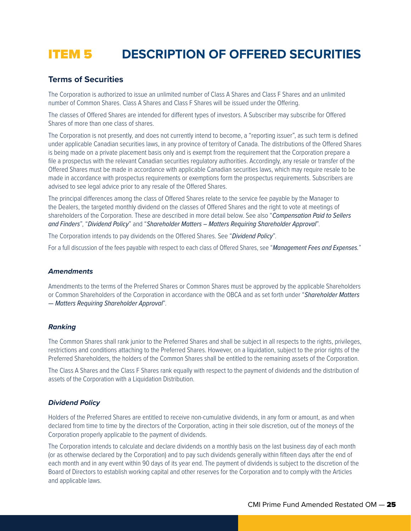## ITEM 5 **DESCRIPTION OF OFFERED SECURITIES**

### **Terms of Securities**

The Corporation is authorized to issue an unlimited number of Class A Shares and Class F Shares and an unlimited number of Common Shares. Class A Shares and Class F Shares will be issued under the Offering.

The classes of Offered Shares are intended for different types of investors. A Subscriber may subscribe for Offered Shares of more than one class of shares.

The Corporation is not presently, and does not currently intend to become, a "reporting issuer", as such term is defined under applicable Canadian securities laws, in any province of territory of Canada. The distributions of the Offered Shares is being made on a private placement basis only and is exempt from the requirement that the Corporation prepare a file a prospectus with the relevant Canadian securities regulatory authorities. Accordingly, any resale or transfer of the Offered Shares must be made in accordance with applicable Canadian securities laws, which may require resale to be made in accordance with prospectus requirements or exemptions form the prospectus requirements. Subscribers are advised to see legal advice prior to any resale of the Offered Shares.

The principal differences among the class of Offered Shares relate to the service fee payable by the Manager to the Dealers, the targeted monthly dividend on the classes of Offered Shares and the right to vote at meetings of shareholders of the Corporation. These are described in more detail below. See also "*Compensation Paid to Sellers and Finders*", "*Dividend Policy*" and "*Shareholder Matters – Matters Requiring Shareholder Approval*".

The Corporation intends to pay dividends on the Offered Shares. See "*Dividend Policy*".

For a full discussion of the fees payable with respect to each class of Offered Shares, see "*Management Fees and Expenses.*"

#### *Amendments*

Amendments to the terms of the Preferred Shares or Common Shares must be approved by the applicable Shareholders or Common Shareholders of the Corporation in accordance with the OBCA and as set forth under "*Shareholder Matters — Matters Requiring Shareholder Approval*".

#### *Ranking*

The Common Shares shall rank junior to the Preferred Shares and shall be subject in all respects to the rights, privileges, restrictions and conditions attaching to the Preferred Shares. However, on a liquidation, subject to the prior rights of the Preferred Shareholders, the holders of the Common Shares shall be entitled to the remaining assets of the Corporation.

The Class A Shares and the Class F Shares rank equally with respect to the payment of dividends and the distribution of assets of the Corporation with a Liquidation Distribution.

#### *Dividend Policy*

Holders of the Preferred Shares are entitled to receive non-cumulative dividends, in any form or amount, as and when declared from time to time by the directors of the Corporation, acting in their sole discretion, out of the moneys of the Corporation properly applicable to the payment of dividends.

The Corporation intends to calculate and declare dividends on a monthly basis on the last business day of each month (or as otherwise declared by the Corporation) and to pay such dividends generally within fifteen days after the end of each month and in any event within 90 days of its year end. The payment of dividends is subject to the discretion of the Board of Directors to establish working capital and other reserves for the Corporation and to comply with the Articles and applicable laws.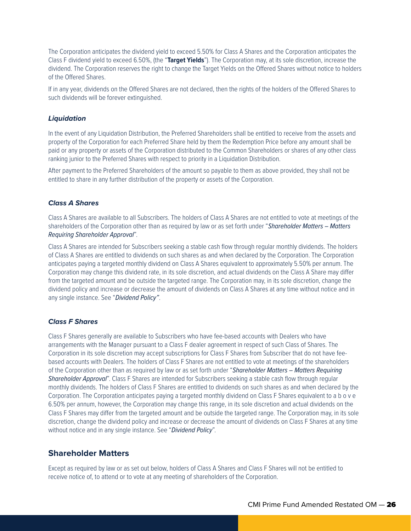The Corporation anticipates the dividend yield to exceed 5.50% for Class A Shares and the Corporation anticipates the Class F dividend yield to exceed 6.50%, (the "**Target Yields**"). The Corporation may, at its sole discretion, increase the dividend. The Corporation reserves the right to change the Target Yields on the Offered Shares without notice to holders of the Offered Shares.

If in any year, dividends on the Offered Shares are not declared, then the rights of the holders of the Offered Shares to such dividends will be forever extinguished.

#### *Liquidation*

In the event of any Liquidation Distribution, the Preferred Shareholders shall be entitled to receive from the assets and property of the Corporation for each Preferred Share held by them the Redemption Price before any amount shall be paid or any property or assets of the Corporation distributed to the Common Shareholders or shares of any other class ranking junior to the Preferred Shares with respect to priority in a Liquidation Distribution.

After payment to the Preferred Shareholders of the amount so payable to them as above provided, they shall not be entitled to share in any further distribution of the property or assets of the Corporation.

#### *Class A Shares*

Class A Shares are available to all Subscribers. The holders of Class A Shares are not entitled to vote at meetings of the shareholders of the Corporation other than as required by law or as set forth under "*Shareholder Matters – Matters Requiring Shareholder Approval*".

Class A Shares are intended for Subscribers seeking a stable cash flow through regular monthly dividends. The holders of Class A Shares are entitled to dividends on such shares as and when declared by the Corporation. The Corporation anticipates paying a targeted monthly dividend on Class A Shares equivalent to approximately 5.50% per annum. The Corporation may change this dividend rate, in its sole discretion, and actual dividends on the Class A Share may differ from the targeted amount and be outside the targeted range. The Corporation may, in its sole discretion, change the dividend policy and increase or decrease the amount of dividends on Class A Shares at any time without notice and in any single instance. See "*Dividend Policy"*.

#### *Class F Shares*

Class F Shares generally are available to Subscribers who have fee-based accounts with Dealers who have arrangements with the Manager pursuant to a Class F dealer agreement in respect of such Class of Shares. The Corporation in its sole discretion may accept subscriptions for Class F Shares from Subscriber that do not have feebased accounts with Dealers. The holders of Class F Shares are not entitled to vote at meetings of the shareholders of the Corporation other than as required by law or as set forth under "*Shareholder Matters – Matters Requiring Shareholder Approval*". Class F Shares are intended for Subscribers seeking a stable cash flow through regular monthly dividends. The holders of Class F Shares are entitled to dividends on such shares as and when declared by the Corporation. The Corporation anticipates paying a targeted monthly dividend on Class F Shares equivalent to a b o v e 6.50% per annum, however, the Corporation may change this range, in its sole discretion and actual dividends on the Class F Shares may differ from the targeted amount and be outside the targeted range. The Corporation may, in its sole discretion, change the dividend policy and increase or decrease the amount of dividends on Class F Shares at any time without notice and in any single instance. See "*Dividend Policy*".

### **Shareholder Matters**

Except as required by law or as set out below, holders of Class A Shares and Class F Shares will not be entitled to receive notice of, to attend or to vote at any meeting of shareholders of the Corporation.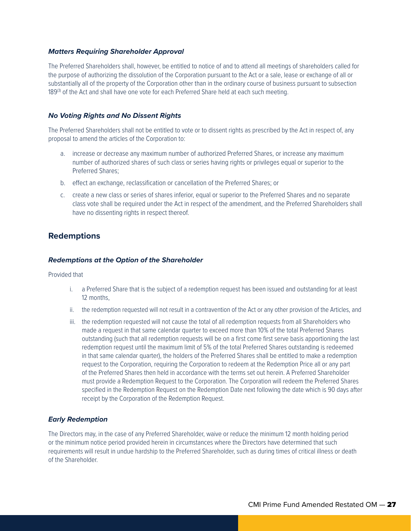#### *Matters Requiring Shareholder Approval*

The Preferred Shareholders shall, however, be entitled to notice of and to attend all meetings of shareholders called for the purpose of authorizing the dissolution of the Corporation pursuant to the Act or a sale, lease or exchange of all or substantially all of the property of the Corporation other than in the ordinary course of business pursuant to subsection 189<sup>(3)</sup> of the Act and shall have one vote for each Preferred Share held at each such meeting.

#### *No Voting Rights and No Dissent Rights*

The Preferred Shareholders shall not be entitled to vote or to dissent rights as prescribed by the Act in respect of, any proposal to amend the articles of the Corporation to:

- a. increase or decrease any maximum number of authorized Preferred Shares, or increase any maximum number of authorized shares of such class or series having rights or privileges equal or superior to the Preferred Shares;
- b. effect an exchange, reclassification or cancellation of the Preferred Shares; or
- c. create a new class or series of shares inferior, equal or superior to the Preferred Shares and no separate class vote shall be required under the Act in respect of the amendment, and the Preferred Shareholders shall have no dissenting rights in respect thereof.

### **Redemptions**

#### *Redemptions at the Option of the Shareholder*

#### Provided that

- i. a Preferred Share that is the subject of a redemption request has been issued and outstanding for at least 12 months,
- ii. the redemption requested will not result in a contravention of the Act or any other provision of the Articles, and
- iii. the redemption requested will not cause the total of all redemption requests from all Shareholders who made a request in that same calendar quarter to exceed more than 10% of the total Preferred Shares outstanding (such that all redemption requests will be on a first come first serve basis apportioning the last redemption request until the maximum limit of 5% of the total Preferred Shares outstanding is redeemed in that same calendar quarter), the holders of the Preferred Shares shall be entitled to make a redemption request to the Corporation, requiring the Corporation to redeem at the Redemption Price all or any part of the Preferred Shares then held in accordance with the terms set out herein. A Preferred Shareholder must provide a Redemption Request to the Corporation. The Corporation will redeem the Preferred Shares specified in the Redemption Request on the Redemption Date next following the date which is 90 days after receipt by the Corporation of the Redemption Request.

#### *Early Redemption*

The Directors may, in the case of any Preferred Shareholder, waive or reduce the minimum 12 month holding period or the minimum notice period provided herein in circumstances where the Directors have determined that such requirements will result in undue hardship to the Preferred Shareholder, such as during times of critical illness or death of the Shareholder.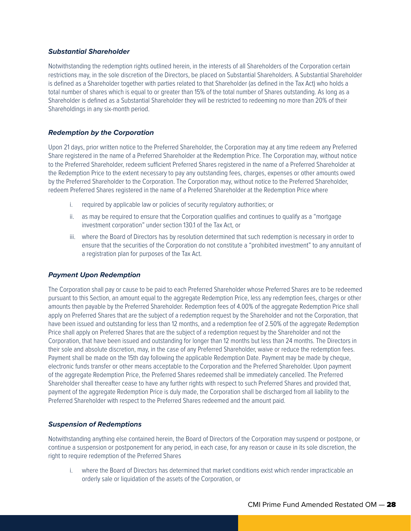#### *Substantial Shareholder*

Notwithstanding the redemption rights outlined herein, in the interests of all Shareholders of the Corporation certain restrictions may, in the sole discretion of the Directors, be placed on Substantial Shareholders. A Substantial Shareholder is defined as a Shareholder together with parties related to that Shareholder (as defined in the Tax Act) who holds a total number of shares which is equal to or greater than 15% of the total number of Shares outstanding. As long as a Shareholder is defined as a Substantial Shareholder they will be restricted to redeeming no more than 20% of their Shareholdings in any six-month period.

#### *Redemption by the Corporation*

Upon 21 days, prior written notice to the Preferred Shareholder, the Corporation may at any time redeem any Preferred Share registered in the name of a Preferred Shareholder at the Redemption Price. The Corporation may, without notice to the Preferred Shareholder, redeem sufficient Preferred Shares registered in the name of a Preferred Shareholder at the Redemption Price to the extent necessary to pay any outstanding fees, charges, expenses or other amounts owed by the Preferred Shareholder to the Corporation. The Corporation may, without notice to the Preferred Shareholder, redeem Preferred Shares registered in the name of a Preferred Shareholder at the Redemption Price where

- i. required by applicable law or policies of security regulatory authorities; or
- ii. as may be required to ensure that the Corporation qualifies and continues to qualify as a "mortgage investment corporation" under section 130.1 of the Tax Act, or
- iii. where the Board of Directors has by resolution determined that such redemption is necessary in order to ensure that the securities of the Corporation do not constitute a "prohibited investment" to any annuitant of a registration plan for purposes of the Tax Act.

#### *Payment Upon Redemption*

The Corporation shall pay or cause to be paid to each Preferred Shareholder whose Preferred Shares are to be redeemed pursuant to this Section, an amount equal to the aggregate Redemption Price, less any redemption fees, charges or other amounts then payable by the Preferred Shareholder. Redemption fees of 4.00% of the aggregate Redemption Price shall apply on Preferred Shares that are the subject of a redemption request by the Shareholder and not the Corporation, that have been issued and outstanding for less than 12 months, and a redemption fee of 2.50% of the aggregate Redemption Price shall apply on Preferred Shares that are the subject of a redemption request by the Shareholder and not the Corporation, that have been issued and outstanding for longer than 12 months but less than 24 months. The Directors in their sole and absolute discretion, may, in the case of any Preferred Shareholder, waive or reduce the redemption fees. Payment shall be made on the 15th day following the applicable Redemption Date. Payment may be made by cheque, electronic funds transfer or other means acceptable to the Corporation and the Preferred Shareholder. Upon payment of the aggregate Redemption Price, the Preferred Shares redeemed shall be immediately cancelled. The Preferred Shareholder shall thereafter cease to have any further rights with respect to such Preferred Shares and provided that, payment of the aggregate Redemption Price is duly made, the Corporation shall be discharged from all liability to the Preferred Shareholder with respect to the Preferred Shares redeemed and the amount paid.

#### *Suspension of Redemptions*

Notwithstanding anything else contained herein, the Board of Directors of the Corporation may suspend or postpone, or continue a suspension or postponement for any period, in each case, for any reason or cause in its sole discretion, the right to require redemption of the Preferred Shares

i. where the Board of Directors has determined that market conditions exist which render impracticable an orderly sale or liquidation of the assets of the Corporation, or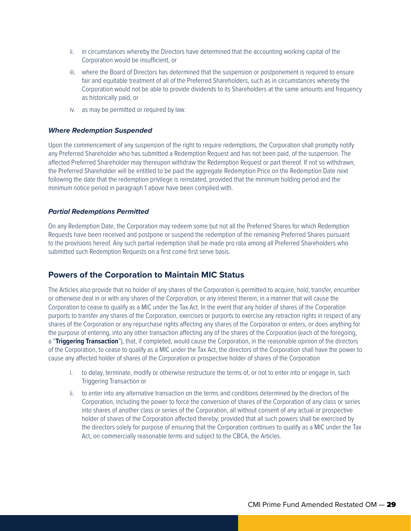- ii. in circumstances whereby the Directors have determined that the accounting working capital of the Corporation would be insufficient, or
- iii. where the Board of Directors has determined that the suspension or postponement is required to ensure fair and equitable treatment of all of the Preferred Shareholders, such as in circumstances whereby the Corporation would not be able to provide dividends to its Shareholders at the same amounts and frequency as historically paid, or
- iv. as may be permitted or required by law.

#### *Where Redemption Suspended*

Upon the commencement of any suspension of the right to require redemptions, the Corporation shall promptly notify any Preferred Shareholder who has submitted a Redemption Request and has not been paid, of the suspension. The affected Preferred Shareholder may thereupon withdraw the Redemption Request or part thereof. If not so withdrawn, the Preferred Shareholder will be entitled to be paid the aggregate Redemption Price on the Redemption Date next following the date that the redemption privilege is reinstated, provided that the minimum holding period and the minimum notice period in paragraph 1 above have been complied with.

#### *Partial Redemptions Permitted*

On any Redemption Date, the Corporation may redeem some but not all the Preferred Shares for which Redemption Requests have been received and postpone or suspend the redemption of the remaining Preferred Shares pursuant to the provisions hereof. Any such partial redemption shall be made pro rata among all Preferred Shareholders who submitted such Redemption Requests on a first come first serve basis.

## **Powers of the Corporation to Maintain MIC Status**

The Articles also provide that no holder of any shares of the Corporation is permitted to acquire, hold, transfer, encumber or otherwise deal in or with any shares of the Corporation, or any interest therein, in a manner that will cause the Corporation to cease to qualify as a MIC under the Tax Act. In the event that any holder of shares of the Corporation purports to transfer any shares of the Corporation, exercises or purports to exercise any retraction rights in respect of any shares of the Corporation or any repurchase rights affecting any shares of the Corporation or enters, or does anything for the purpose of entering, into any other transaction affecting any of the shares of the Corporation (each of the foregoing, a "**Triggering Transaction**"), that, if completed, would cause the Corporation, in the reasonable opinion of the directors of the Corporation, to cease to qualify as a MIC under the Tax Act, the directors of the Corporation shall have the power to cause any affected holder of shares of the Corporation or prospective holder of shares of the Corporation

- i. to delay, terminate, modify or otherwise restructure the terms of, or not to enter into or engage in, such Triggering Transaction or
- ii. to enter into any alternative transaction on the terms and conditions determined by the directors of the Corporation, including the power to force the conversion of shares of the Corporation of any class or series into shares of another class or series of the Corporation, all without consent of any actual or prospective holder of shares of the Corporation affected thereby; provided that all such powers shall be exercised by the directors solely for purpose of ensuring that the Corporation continues to qualify as a MIC under the Tax Act, on commercially reasonable terms and subject to the CBCA, the Articles.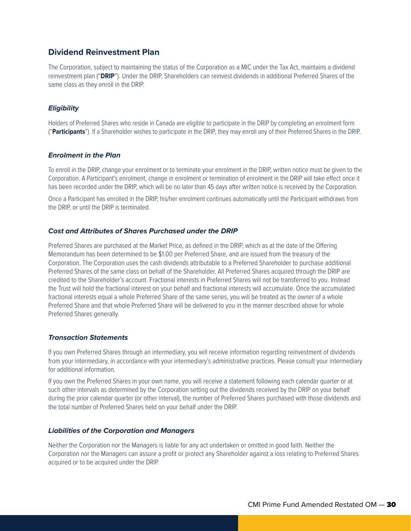### **Dividend Reinvestment Plan**

The Corporation, subject to maintaining the status of the Corporation as a MIC under the Tax Act, maintains a dividend reinvestment plan ("**DRIP**"). Under the DRIP, Shareholders can reinvest dividends in additional Preferred Shares of the same class as they enroll in the DRIP.

#### *Eligibility*

Holders of Preferred Shares who reside in Canada are eligible to participate in the DRIP by completing an enrolment form ("**Participants**"). If a Shareholder wishes to participate in the DRIP, they may enroll any of their Preferred Shares in the DRIP.

#### *Enrolment in the Plan*

To enroll in the DRIP, change your enrolment or to terminate your enrolment in the DRIP, written notice must be given to the Corporation. A Participant's enrolment, change in enrolment or termination of enrolment in the DRIP will take effect once it has been recorded under the DRIP, which will be no later than 45 days after written notice is received by the Corporation.

Once a Participant has enrolled in the DRIP, his/her enrolment continues automatically until the Participant withdraws from the DRIP, or until the DRIP is terminated.

#### *Cost and Attributes of Shares Purchased under the DRIP*

Preferred Shares are purchased at the Market Price, as defined in the DRIP, which as at the date of the Offering Memorandum has been determined to be \$1.00 per Preferred Share, and are issued from the treasury of the Corporation. The Corporation uses the cash dividends attributable to a Preferred Shareholder to purchase additional Preferred Shares of the same class on behalf of the Shareholder. All Preferred Shares acquired through the DRIP are credited to the Shareholder's account. Fractional interests in Preferred Shares will not be transferred to you. Instead the Trust will hold the fractional interest on your behalf and fractional interests will accumulate. Once the accumulated fractional interests equal a whole Preferred Share of the same series, you will be treated as the owner of a whole Preferred Share and that whole Preferred Share will be delivered to you in the manner described above for whole Preferred Shares generally.

#### *Transaction Statements*

If you own Preferred Shares through an intermediary, you will receive information regarding reinvestment of dividends from your intermediary, in accordance with your intermediary's administrative practices. Please consult your intermediary for additional information.

If you own the Preferred Shares in your own name, you will receive a statement following each calendar quarter or at such other intervals as determined by the Corporation setting out the dividends received by the DRIP on your behalf during the prior calendar quarter (or other interval), the number of Preferred Shares purchased with those dividends and the total number of Preferred Shares held on your behalf under the DRIP.

#### *Liabilities of the Corporation and Managers*

Neither the Corporation nor the Managers is liable for any act undertaken or omitted in good faith. Neither the Corporation nor the Managers can assure a profit or protect any Shareholder against a loss relating to Preferred Shares acquired or to be acquired under the DRIP.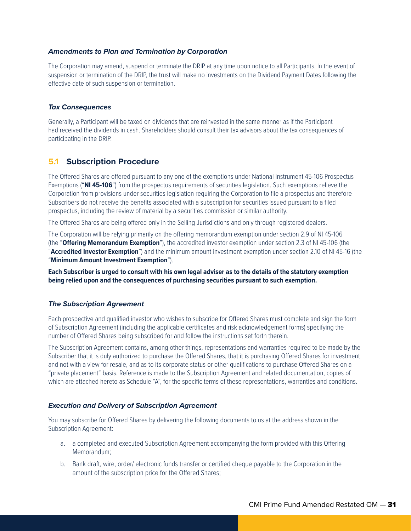#### *Amendments to Plan and Termination by Corporation*

The Corporation may amend, suspend or terminate the DRIP at any time upon notice to all Participants. In the event of suspension or termination of the DRIP, the trust will make no investments on the Dividend Payment Dates following the effective date of such suspension or termination.

#### *Tax Consequences*

Generally, a Participant will be taxed on dividends that are reinvested in the same manner as if the Participant had received the dividends in cash. Shareholders should consult their tax advisors about the tax consequences of participating in the DRIP.

#### **5.1 Subscription Procedure**

The Offered Shares are offered pursuant to any one of the exemptions under National Instrument 45-106 Prospectus Exemptions ("**NI 45-106**") from the prospectus requirements of securities legislation. Such exemptions relieve the Corporation from provisions under securities legislation requiring the Corporation to file a prospectus and therefore Subscribers do not receive the benefits associated with a subscription for securities issued pursuant to a filed prospectus, including the review of material by a securities commission or similar authority.

The Offered Shares are being offered only in the Selling Jurisdictions and only through registered dealers.

The Corporation will be relying primarily on the offering memorandum exemption under section 2.9 of NI 45-106 (the "**Offering Memorandum Exemption**"), the accredited investor exemption under section 2.3 of NI 45-106 (the "**Accredited Investor Exemption**") and the minimum amount investment exemption under section 2.10 of NI 45-16 (the "**Minimum Amount Investment Exemption**").

**Each Subscriber is urged to consult with his own legal adviser as to the details of the statutory exemption being relied upon and the consequences of purchasing securities pursuant to such exemption.**

#### *The Subscription Agreement*

Each prospective and qualified investor who wishes to subscribe for Offered Shares must complete and sign the form of Subscription Agreement (including the applicable certificates and risk acknowledgement forms) specifying the number of Offered Shares being subscribed for and follow the instructions set forth therein.

The Subscription Agreement contains, among other things, representations and warranties required to be made by the Subscriber that it is duly authorized to purchase the Offered Shares, that it is purchasing Offered Shares for investment and not with a view for resale, and as to its corporate status or other qualifications to purchase Offered Shares on a "private placement" basis. Reference is made to the Subscription Agreement and related documentation, copies of which are attached hereto as Schedule "A", for the specific terms of these representations, warranties and conditions.

#### *Execution and Delivery of Subscription Agreement*

You may subscribe for Offered Shares by delivering the following documents to us at the address shown in the Subscription Agreement:

- a. a completed and executed Subscription Agreement accompanying the form provided with this Offering Memorandum;
- b. Bank draft, wire, order/ electronic funds transfer or certified cheque payable to the Corporation in the amount of the subscription price for the Offered Shares;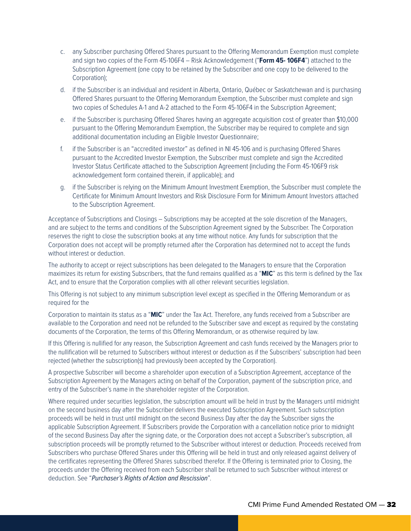- c. any Subscriber purchasing Offered Shares pursuant to the Offering Memorandum Exemption must complete and sign two copies of the Form 45-106F4 – Risk Acknowledgement ("**Form 45- 106F4**") attached to the Subscription Agreement (one copy to be retained by the Subscriber and one copy to be delivered to the Corporation);
- d. if the Subscriber is an individual and resident in Alberta, Ontario, Québec or Saskatchewan and is purchasing Offered Shares pursuant to the Offering Memorandum Exemption, the Subscriber must complete and sign two copies of Schedules A-1 and A-2 attached to the Form 45-106F4 in the Subscription Agreement;
- e. if the Subscriber is purchasing Offered Shares having an aggregate acquisition cost of greater than \$10,000 pursuant to the Offering Memorandum Exemption, the Subscriber may be required to complete and sign additional documentation including an Eligible Investor Questionnaire;
- f. if the Subscriber is an "accredited investor" as defined in NI 45-106 and is purchasing Offered Shares pursuant to the Accredited Investor Exemption, the Subscriber must complete and sign the Accredited Investor Status Certificate attached to the Subscription Agreement (including the Form 45-106F9 risk acknowledgement form contained therein, if applicable); and
- g. if the Subscriber is relying on the Minimum Amount Investment Exemption, the Subscriber must complete the Certificate for Minimum Amount Investors and Risk Disclosure Form for Minimum Amount Investors attached to the Subscription Agreement.

Acceptance of Subscriptions and Closings – Subscriptions may be accepted at the sole discretion of the Managers, and are subject to the terms and conditions of the Subscription Agreement signed by the Subscriber. The Corporation reserves the right to close the subscription books at any time without notice. Any funds for subscription that the Corporation does not accept will be promptly returned after the Corporation has determined not to accept the funds without interest or deduction.

The authority to accept or reject subscriptions has been delegated to the Managers to ensure that the Corporation maximizes its return for existing Subscribers, that the fund remains qualified as a "**MIC**" as this term is defined by the Tax Act, and to ensure that the Corporation complies with all other relevant securities legislation.

This Offering is not subject to any minimum subscription level except as specified in the Offering Memorandum or as required for the

Corporation to maintain its status as a "**MIC**" under the Tax Act. Therefore, any funds received from a Subscriber are available to the Corporation and need not be refunded to the Subscriber save and except as required by the constating documents of the Corporation, the terms of this Offering Memorandum, or as otherwise required by law.

If this Offering is nullified for any reason, the Subscription Agreement and cash funds received by the Managers prior to the nullification will be returned to Subscribers without interest or deduction as if the Subscribers' subscription had been rejected (whether the subscription(s) had previously been accepted by the Corporation).

A prospective Subscriber will become a shareholder upon execution of a Subscription Agreement, acceptance of the Subscription Agreement by the Managers acting on behalf of the Corporation, payment of the subscription price, and entry of the Subscriber's name in the shareholder register of the Corporation.

Where required under securities legislation, the subscription amount will be held in trust by the Managers until midnight on the second business day after the Subscriber delivers the executed Subscription Agreement. Such subscription proceeds will be held in trust until midnight on the second Business Day after the day the Subscriber signs the applicable Subscription Agreement. If Subscribers provide the Corporation with a cancellation notice prior to midnight of the second Business Day after the signing date, or the Corporation does not accept a Subscriber's subscription, all subscription proceeds will be promptly returned to the Subscriber without interest or deduction. Proceeds received from Subscribers who purchase Offered Shares under this Offering will be held in trust and only released against delivery of the certificates representing the Offered Shares subscribed therefor. If the Offering is terminated prior to Closing, the proceeds under the Offering received from each Subscriber shall be returned to such Subscriber without interest or deduction. See "*Purchaser's Rights of Action and Rescission*".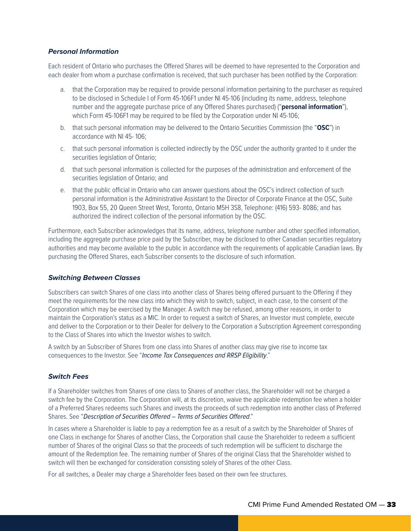#### *Personal Information*

Each resident of Ontario who purchases the Offered Shares will be deemed to have represented to the Corporation and each dealer from whom a purchase confirmation is received, that such purchaser has been notified by the Corporation:

- a. that the Corporation may be required to provide personal information pertaining to the purchaser as required to be disclosed in Schedule I of Form 45-106F1 under NI 45-106 (including its name, address, telephone number and the aggregate purchase price of any Offered Shares purchased) ("**personal information**"), which Form 45-106F1 may be required to be filed by the Corporation under NI 45-106;
- b. that such personal information may be delivered to the Ontario Securities Commission (the "**OSC**") in accordance with NI 45- 106;
- c. that such personal information is collected indirectly by the OSC under the authority granted to it under the securities legislation of Ontario;
- d. that such personal information is collected for the purposes of the administration and enforcement of the securities legislation of Ontario; and
- e. that the public official in Ontario who can answer questions about the OSC's indirect collection of such personal information is the Administrative Assistant to the Director of Corporate Finance at the OSC, Suite 1903, Box 55, 20 Queen Street West, Toronto, Ontario M5H 3S8, Telephone: (416) 593- 8086; and has authorized the indirect collection of the personal information by the OSC.

Furthermore, each Subscriber acknowledges that its name, address, telephone number and other specified information, including the aggregate purchase price paid by the Subscriber, may be disclosed to other Canadian securities regulatory authorities and may become available to the public in accordance with the requirements of applicable Canadian laws. By purchasing the Offered Shares, each Subscriber consents to the disclosure of such information.

#### *Switching Between Classes*

Subscribers can switch Shares of one class into another class of Shares being offered pursuant to the Offering if they meet the requirements for the new class into which they wish to switch, subject, in each case, to the consent of the Corporation which may be exercised by the Manager. A switch may be refused, among other reasons, in order to maintain the Corporation's status as a MIC. In order to request a switch of Shares, an Investor must complete, execute and deliver to the Corporation or to their Dealer for delivery to the Corporation a Subscription Agreement corresponding to the Class of Shares into which the Investor wishes to switch.

A switch by an Subscriber of Shares from one class into Shares of another class may give rise to income tax consequences to the Investor. See "*Income Tax Consequences and RRSP Eligibility*."

#### *Switch Fees*

If a Shareholder switches from Shares of one class to Shares of another class, the Shareholder will not be charged a switch fee by the Corporation. The Corporation will, at its discretion, waive the applicable redemption fee when a holder of a Preferred Shares redeems such Shares and invests the proceeds of such redemption into another class of Preferred Shares. See "*Description of Securities Offered – Terms of Securities Offered*."

In cases where a Shareholder is liable to pay a redemption fee as a result of a switch by the Shareholder of Shares of one Class in exchange for Shares of another Class, the Corporation shall cause the Shareholder to redeem a sufficient number of Shares of the original Class so that the proceeds of such redemption will be sufficient to discharge the amount of the Redemption fee. The remaining number of Shares of the original Class that the Shareholder wished to switch will then be exchanged for consideration consisting solely of Shares of the other Class.

For all switches, a Dealer may charge a Shareholder fees based on their own fee structures.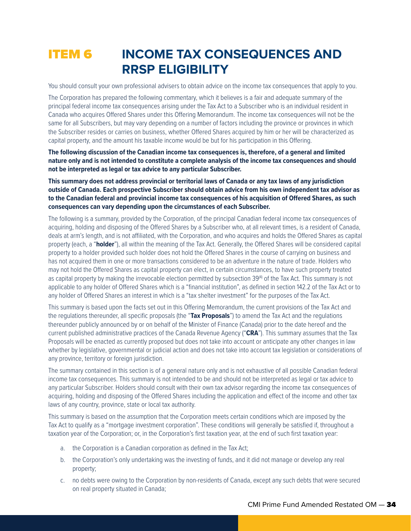## **ITEM 6 INCOME TAX CONSEQUENCES AND RRSP ELIGIBILITY**

You should consult your own professional advisers to obtain advice on the income tax consequences that apply to you.

The Corporation has prepared the following commentary, which it believes is a fair and adequate summary of the principal federal income tax consequences arising under the Tax Act to a Subscriber who is an individual resident in Canada who acquires Offered Shares under this Offering Memorandum. The income tax consequences will not be the same for all Subscribers, but may vary depending on a number of factors including the province or provinces in which the Subscriber resides or carries on business, whether Offered Shares acquired by him or her will be characterized as capital property, and the amount his taxable income would be but for his participation in this Offering.

**The following discussion of the Canadian income tax consequences is, therefore, of a general and limited nature only and is not intended to constitute a complete analysis of the income tax consequences and should not be interpreted as legal or tax advice to any particular Subscriber.**

**This summary does not address provincial or territorial laws of Canada or any tax laws of any jurisdiction outside of Canada. Each prospective Subscriber should obtain advice from his own independent tax advisor as to the Canadian federal and provincial income tax consequences of his acquisition of Offered Shares, as such consequences can vary depending upon the circumstances of each Subscriber.**

The following is a summary, provided by the Corporation, of the principal Canadian federal income tax consequences of acquiring, holding and disposing of the Offered Shares by a Subscriber who, at all relevant times, is a resident of Canada, deals at arm's length, and is not affiliated, with the Corporation, and who acquires and holds the Offered Shares as capital property (each, a "**holder**"), all within the meaning of the Tax Act. Generally, the Offered Shares will be considered capital property to a holder provided such holder does not hold the Offered Shares in the course of carrying on business and has not acquired them in one or more transactions considered to be an adventure in the nature of trade. Holders who may not hold the Offered Shares as capital property can elect, in certain circumstances, to have such property treated as capital property by making the irrevocable election permitted by subsection 39<sup>(4)</sup> of the Tax Act. This summary is not applicable to any holder of Offered Shares which is a "financial institution", as defined in section 142.2 of the Tax Act or to any holder of Offered Shares an interest in which is a "tax shelter investment" for the purposes of the Tax Act.

This summary is based upon the facts set out in this Offering Memorandum, the current provisions of the Tax Act and the regulations thereunder, all specific proposals (the "**Tax Proposals**") to amend the Tax Act and the regulations thereunder publicly announced by or on behalf of the Minister of Finance (Canada) prior to the date hereof and the current published administrative practices of the Canada Revenue Agency ("**CRA**"). This summary assumes that the Tax Proposals will be enacted as currently proposed but does not take into account or anticipate any other changes in law whether by legislative, governmental or judicial action and does not take into account tax legislation or considerations of any province, territory or foreign jurisdiction.

The summary contained in this section is of a general nature only and is not exhaustive of all possible Canadian federal income tax consequences. This summary is not intended to be and should not be interpreted as legal or tax advice to any particular Subscriber. Holders should consult with their own tax advisor regarding the income tax consequences of acquiring, holding and disposing of the Offered Shares including the application and effect of the income and other tax laws of any country, province, state or local tax authority.

This summary is based on the assumption that the Corporation meets certain conditions which are imposed by the Tax Act to qualify as a "mortgage investment corporation". These conditions will generally be satisfied if, throughout a taxation year of the Corporation; or, in the Corporation's first taxation year, at the end of such first taxation year:

- a. the Corporation is a Canadian corporation as defined in the Tax Act;
- b. the Corporation's only undertaking was the investing of funds, and it did not manage or develop any real property;
- c. no debts were owing to the Corporation by non-residents of Canada, except any such debts that were secured on real property situated in Canada;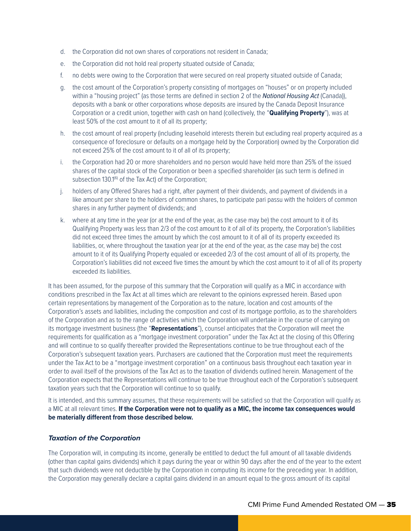- d. the Corporation did not own shares of corporations not resident in Canada;
- e. the Corporation did not hold real property situated outside of Canada;
- f. no debts were owing to the Corporation that were secured on real property situated outside of Canada;
- g. the cost amount of the Corporation's property consisting of mortgages on "houses" or on property included within a "housing project" (as those terms are defined in section 2 of the *National Housing Act* (Canada)), deposits with a bank or other corporations whose deposits are insured by the Canada Deposit Insurance Corporation or a credit union, together with cash on hand (collectively, the "**Qualifying Property**"), was at least 50% of the cost amount to it of all its property;
- h. the cost amount of real property (including leasehold interests therein but excluding real property acquired as a consequence of foreclosure or defaults on a mortgage held by the Corporation) owned by the Corporation did not exceed 25% of the cost amount to it of all of its property;
- i. the Corporation had 20 or more shareholders and no person would have held more than 25% of the issued shares of the capital stock of the Corporation or been a specified shareholder (as such term is defined in subsection 130.1<sup>(6)</sup> of the Tax Act) of the Corporation;
- j. holders of any Offered Shares had a right, after payment of their dividends, and payment of dividends in a like amount per share to the holders of common shares, to participate pari passu with the holders of common shares in any further payment of dividends; and
- k. where at any time in the year (or at the end of the year, as the case may be) the cost amount to it of its Qualifying Property was less than 2/3 of the cost amount to it of all of its property, the Corporation's liabilities did not exceed three times the amount by which the cost amount to it of all of its property exceeded its liabilities, or, where throughout the taxation year (or at the end of the year, as the case may be) the cost amount to it of its Qualifying Property equaled or exceeded 2/3 of the cost amount of all of its property, the Corporation's liabilities did not exceed five times the amount by which the cost amount to it of all of its property exceeded its liabilities.

It has been assumed, for the purpose of this summary that the Corporation will qualify as a MIC in accordance with conditions prescribed in the Tax Act at all times which are relevant to the opinions expressed herein. Based upon certain representations by management of the Corporation as to the nature, location and cost amounts of the Corporation's assets and liabilities, including the composition and cost of its mortgage portfolio, as to the shareholders of the Corporation and as to the range of activities which the Corporation will undertake in the course of carrying on its mortgage investment business (the "**Representations**"), counsel anticipates that the Corporation will meet the requirements for qualification as a "mortgage investment corporation" under the Tax Act at the closing of this Offering and will continue to so qualify thereafter provided the Representations continue to be true throughout each of the Corporation's subsequent taxation years. Purchasers are cautioned that the Corporation must meet the requirements under the Tax Act to be a "mortgage investment corporation" on a continuous basis throughout each taxation year in order to avail itself of the provisions of the Tax Act as to the taxation of dividends outlined herein. Management of the Corporation expects that the Representations will continue to be true throughout each of the Corporation's subsequent taxation years such that the Corporation will continue to so qualify.

It is intended, and this summary assumes, that these requirements will be satisfied so that the Corporation will qualify as a MIC at all relevant times. **If the Corporation were not to qualify as a MIC, the income tax consequences would be materially different from those described below.**

#### *Taxation of the Corporation*

The Corporation will, in computing its income, generally be entitled to deduct the full amount of all taxable dividends (other than capital gains dividends) which it pays during the year or within 90 days after the end of the year to the extent that such dividends were not deductible by the Corporation in computing its income for the preceding year. In addition, the Corporation may generally declare a capital gains dividend in an amount equal to the gross amount of its capital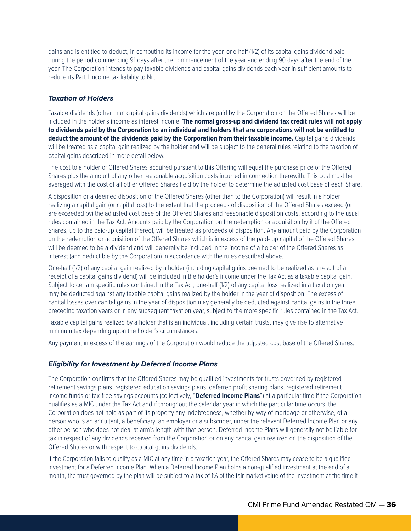gains and is entitled to deduct, in computing its income for the year, one-half (1/2) of its capital gains dividend paid during the period commencing 91 days after the commencement of the year and ending 90 days after the end of the year. The Corporation intends to pay taxable dividends and capital gains dividends each year in sufficient amounts to reduce its Part I income tax liability to Nil.

#### *Taxation of Holders*

Taxable dividends (other than capital gains dividends) which are paid by the Corporation on the Offered Shares will be included in the holder's income as interest income. **The normal gross-up and dividend tax credit rules will not apply to dividends paid by the Corporation to an individual and holders that are corporations will not be entitled to deduct the amount of the dividends paid by the Corporation from their taxable income.** Capital gains dividends will be treated as a capital gain realized by the holder and will be subject to the general rules relating to the taxation of capital gains described in more detail below.

The cost to a holder of Offered Shares acquired pursuant to this Offering will equal the purchase price of the Offered Shares plus the amount of any other reasonable acquisition costs incurred in connection therewith. This cost must be averaged with the cost of all other Offered Shares held by the holder to determine the adjusted cost base of each Share.

A disposition or a deemed disposition of the Offered Shares (other than to the Corporation) will result in a holder realizing a capital gain (or capital loss) to the extent that the proceeds of disposition of the Offered Shares exceed (or are exceeded by) the adjusted cost base of the Offered Shares and reasonable disposition costs, according to the usual rules contained in the Tax Act. Amounts paid by the Corporation on the redemption or acquisition by it of the Offered Shares, up to the paid-up capital thereof, will be treated as proceeds of disposition. Any amount paid by the Corporation on the redemption or acquisition of the Offered Shares which is in excess of the paid- up capital of the Offered Shares will be deemed to be a dividend and will generally be included in the income of a holder of the Offered Shares as interest (and deductible by the Corporation) in accordance with the rules described above.

One-half (1/2) of any capital gain realized by a holder (including capital gains deemed to be realized as a result of a receipt of a capital gains dividend) will be included in the holder's income under the Tax Act as a taxable capital gain. Subject to certain specific rules contained in the Tax Act, one-half (1/2) of any capital loss realized in a taxation year may be deducted against any taxable capital gains realized by the holder in the year of disposition. The excess of capital losses over capital gains in the year of disposition may generally be deducted against capital gains in the three preceding taxation years or in any subsequent taxation year, subject to the more specific rules contained in the Tax Act.

Taxable capital gains realized by a holder that is an individual, including certain trusts, may give rise to alternative minimum tax depending upon the holder's circumstances.

Any payment in excess of the earnings of the Corporation would reduce the adjusted cost base of the Offered Shares.

#### *Eligibility for Investment by Deferred Income Plans*

The Corporation confirms that the Offered Shares may be qualified investments for trusts governed by registered retirement savings plans, registered education savings plans, deferred profit sharing plans, registered retirement income funds or tax-free savings accounts (collectively, "**Deferred Income Plans**") at a particular time if the Corporation qualifies as a MIC under the Tax Act and if throughout the calendar year in which the particular time occurs, the Corporation does not hold as part of its property any indebtedness, whether by way of mortgage or otherwise, of a person who is an annuitant, a beneficiary, an employer or a subscriber, under the relevant Deferred Income Plan or any other person who does not deal at arm's length with that person. Deferred Income Plans will generally not be liable for tax in respect of any dividends received from the Corporation or on any capital gain realized on the disposition of the Offered Shares or with respect to capital gains dividends.

If the Corporation fails to qualify as a MIC at any time in a taxation year, the Offered Shares may cease to be a qualified investment for a Deferred Income Plan. When a Deferred Income Plan holds a non-qualified investment at the end of a month, the trust governed by the plan will be subject to a tax of 1% of the fair market value of the investment at the time it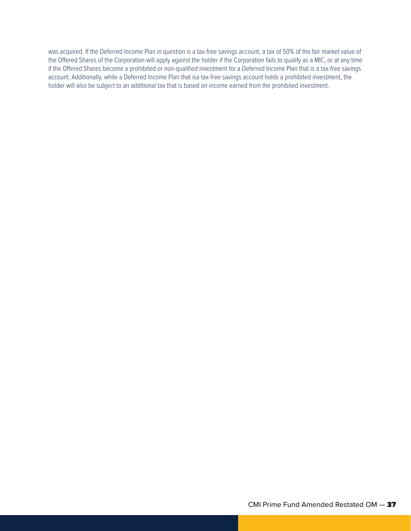was acquired. If the Deferred Income Plan in question is a tax-free savings account, a tax of 50% of the fair market value of the Offered Shares of the Corporation will apply against the holder if the Corporation fails to qualify as a MIC, or at any time if the Offered Shares become a prohibited or non-qualified investment for a Deferred Income Plan that is a tax-free savings account. Additionally, while a Deferred Income Plan that isa tax-free savings account holds a prohibited investment, the holder will also be subject to an additional tax that is based on income earned from the prohibited investment.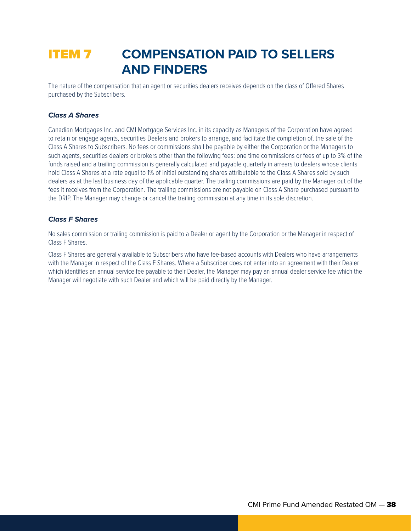## ITEM 7 **COMPENSATION PAID TO SELLERS AND FINDERS**

The nature of the compensation that an agent or securities dealers receives depends on the class of Offered Shares purchased by the Subscribers.

#### *Class A Shares*

Canadian Mortgages Inc. and CMI Mortgage Services Inc. in its capacity as Managers of the Corporation have agreed to retain or engage agents, securities Dealers and brokers to arrange, and facilitate the completion of, the sale of the Class A Shares to Subscribers. No fees or commissions shall be payable by either the Corporation or the Managers to such agents, securities dealers or brokers other than the following fees: one time commissions or fees of up to 3% of the funds raised and a trailing commission is generally calculated and payable quarterly in arrears to dealers whose clients hold Class A Shares at a rate equal to 1% of initial outstanding shares attributable to the Class A Shares sold by such dealers as at the last business day of the applicable quarter. The trailing commissions are paid by the Manager out of the fees it receives from the Corporation. The trailing commissions are not payable on Class A Share purchased pursuant to the DRIP. The Manager may change or cancel the trailing commission at any time in its sole discretion.

#### *Class F Shares*

No sales commission or trailing commission is paid to a Dealer or agent by the Corporation or the Manager in respect of Class F Shares.

Class F Shares are generally available to Subscribers who have fee-based accounts with Dealers who have arrangements with the Manager in respect of the Class F Shares. Where a Subscriber does not enter into an agreement with their Dealer which identifies an annual service fee payable to their Dealer, the Manager may pay an annual dealer service fee which the Manager will negotiate with such Dealer and which will be paid directly by the Manager.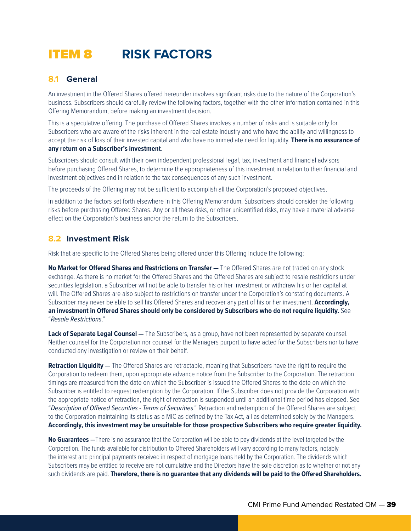## ITEM 8 **RISK FACTORS**

## **8.1 General**

An investment in the Offered Shares offered hereunder involves significant risks due to the nature of the Corporation's business. Subscribers should carefully review the following factors, together with the other information contained in this Offering Memorandum, before making an investment decision.

This is a speculative offering. The purchase of Offered Shares involves a number of risks and is suitable only for Subscribers who are aware of the risks inherent in the real estate industry and who have the ability and willingness to accept the risk of loss of their invested capital and who have no immediate need for liquidity. **There is no assurance of any return on a Subscriber's investment**.

Subscribers should consult with their own independent professional legal, tax, investment and financial advisors before purchasing Offered Shares, to determine the appropriateness of this investment in relation to their financial and investment objectives and in relation to the tax consequences of any such investment.

The proceeds of the Offering may not be sufficient to accomplish all the Corporation's proposed objectives.

In addition to the factors set forth elsewhere in this Offering Memorandum, Subscribers should consider the following risks before purchasing Offered Shares. Any or all these risks, or other unidentified risks, may have a material adverse effect on the Corporation's business and/or the return to the Subscribers.

### **8.2 Investment Risk**

Risk that are specific to the Offered Shares being offered under this Offering include the following:

**No Market for Offered Shares and Restrictions on Transfer —** The Offered Shares are not traded on any stock exchange. As there is no market for the Offered Shares and the Offered Shares are subject to resale restrictions under securities legislation, a Subscriber will not be able to transfer his or her investment or withdraw his or her capital at will. The Offered Shares are also subject to restrictions on transfer under the Corporation's constating documents. A Subscriber may never be able to sell his Offered Shares and recover any part of his or her investment. **Accordingly, an investment in Offered Shares should only be considered by Subscribers who do not require liquidity.** See "*Resale Restrictions*."

**Lack of Separate Legal Counsel —** The Subscribers, as a group, have not been represented by separate counsel. Neither counsel for the Corporation nor counsel for the Managers purport to have acted for the Subscribers nor to have conducted any investigation or review on their behalf.

**Retraction Liquidity —** The Offered Shares are retractable, meaning that Subscribers have the right to require the Corporation to redeem them, upon appropriate advance notice from the Subscriber to the Corporation. The retraction timings are measured from the date on which the Subscriber is issued the Offered Shares to the date on which the Subscriber is entitled to request redemption by the Corporation. If the Subscriber does not provide the Corporation with the appropriate notice of retraction, the right of retraction is suspended until an additional time period has elapsed. See "*Description of Offered Securities - Terms of Securities*." Retraction and redemption of the Offered Shares are subject to the Corporation maintaining its status as a MIC as defined by the Tax Act, all as determined solely by the Managers. **Accordingly, this investment may be unsuitable for those prospective Subscribers who require greater liquidity.**

**No Guarantees —**There is no assurance that the Corporation will be able to pay dividends at the level targeted by the Corporation. The funds available for distribution to Offered Shareholders will vary according to many factors, notably the interest and principal payments received in respect of mortgage loans held by the Corporation. The dividends which Subscribers may be entitled to receive are not cumulative and the Directors have the sole discretion as to whether or not any such dividends are paid. **Therefore, there is no guarantee that any dividends will be paid to the Offered Shareholders.**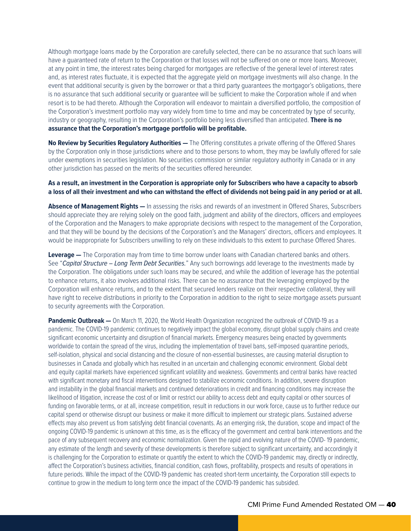Although mortgage loans made by the Corporation are carefully selected, there can be no assurance that such loans will have a guaranteed rate of return to the Corporation or that losses will not be suffered on one or more loans. Moreover, at any point in time, the interest rates being charged for mortgages are reflective of the general level of interest rates and, as interest rates fluctuate, it is expected that the aggregate yield on mortgage investments will also change. In the event that additional security is given by the borrower or that a third party guarantees the mortgagor's obligations, there is no assurance that such additional security or guarantee will be sufficient to make the Corporation whole if and when resort is to be had thereto. Although the Corporation will endeavor to maintain a diversified portfolio, the composition of the Corporation's investment portfolio may vary widely from time to time and may be concentrated by type of security, industry or geography, resulting in the Corporation's portfolio being less diversified than anticipated. **There is no assurance that the Corporation's mortgage portfolio will be profitable.**

**No Review by Securities Regulatory Authorities —** The Offering constitutes a private offering of the Offered Shares by the Corporation only in those jurisdictions where and to those persons to whom, they may be lawfully offered for sale under exemptions in securities legislation. No securities commission or similar regulatory authority in Canada or in any other jurisdiction has passed on the merits of the securities offered hereunder.

#### **As a result, an investment in the Corporation is appropriate only for Subscribers who have a capacity to absorb a loss of all their investment and who can withstand the effect of dividends not being paid in any period or at all.**

**Absence of Management Rights —** In assessing the risks and rewards of an investment in Offered Shares, Subscribers should appreciate they are relying solely on the good faith, judgment and ability of the directors, officers and employees of the Corporation and the Managers to make appropriate decisions with respect to the management of the Corporation, and that they will be bound by the decisions of the Corporation's and the Managers' directors, officers and employees. It would be inappropriate for Subscribers unwilling to rely on these individuals to this extent to purchase Offered Shares.

**Leverage —** The Corporation may from time to time borrow under loans with Canadian chartered banks and others. See "*Capital Structure – Long Term Debt Securities.*" Any such borrowings add leverage to the investments made by the Corporation. The obligations under such loans may be secured, and while the addition of leverage has the potential to enhance returns, it also involves additional risks. There can be no assurance that the leveraging employed by the Corporation will enhance returns, and to the extent that secured lenders realize on their respective collateral, they will have right to receive distributions in priority to the Corporation in addition to the right to seize mortgage assets pursuant to security agreements with the Corporation.

Pandemic Outbreak — On March 11, 2020, the World Health Organization recognized the outbreak of COVID-19 as a pandemic. The COVID-19 pandemic continues to negatively impact the global economy, disrupt global supply chains and create significant economic uncertainty and disruption of financial markets. Emergency measures being enacted by governments worldwide to contain the spread of the virus, including the implementation of travel bans, self-imposed quarantine periods, self-isolation, physical and social distancing and the closure of non-essential businesses, are causing material disruption to businesses in Canada and globally which has resulted in an uncertain and challenging economic environment. Global debt and equity capital markets have experienced significant volatility and weakness. Governments and central banks have reacted with significant monetary and fiscal interventions designed to stabilize economic conditions. In addition, severe disruption and instability in the global financial markets and continued deteriorations in credit and financing conditions may increase the likelihood of litigation, increase the cost of or limit or restrict our ability to access debt and equity capital or other sources of funding on favorable terms, or at all, increase competition, result in reductions in our work force, cause us to further reduce our capital spend or otherwise disrupt our business or make it more difficult to implement our strategic plans. Sustained adverse effects may also prevent us from satisfying debt financial covenants. As an emerging risk, the duration, scope and impact of the ongoing COVID-19 pandemic is unknown at this time, as is the efficacy of the government and central bank interventions and the pace of any subsequent recovery and economic normalization. Given the rapid and evolving nature of the COVID- 19 pandemic, any estimate of the length and severity of these developments is therefore subject to significant uncertainty, and accordingly it is challenging for the Corporation to estimate or quantify the extent to which the COVID-19 pandemic may, directly or indirectly, affect the Corporation's business activities, financial condition, cash flows, profitability, prospects and results of operations in future periods. While the impact of the COVID-19 pandemic has created short-term uncertainty, the Corporation still expects to continue to grow in the medium to long term once the impact of the COVID-19 pandemic has subsided.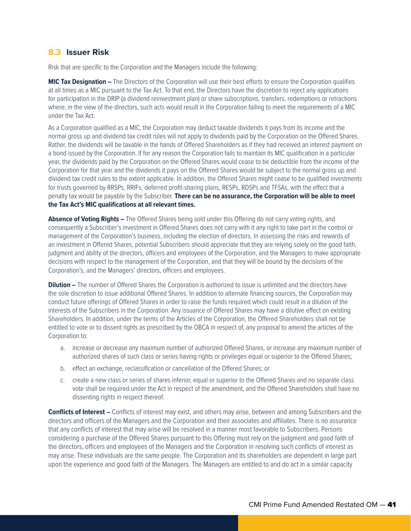### **8.3 Issuer Risk**

Risk that are specific to the Corporation and the Managers include the following:

**MIC Tax Designation –** The Directors of the Corporation will use their best efforts to ensure the Corporation qualifies at all times as a MIC pursuant to the Tax Act. To that end, the Directors have the discretion to reject any applications for participation in the DRIP (a dividend reinvestment plan) or share subscriptions, transfers, redemptions or retractions where, in the view of the directors, such acts would result in the Corporation failing to meet the requirements of a MIC under the Tax Act.

As a Corporation qualified as a MIC, the Corporation may deduct taxable dividends it pays from its income and the normal gross up and dividend tax credit rules will not apply to dividends paid by the Corporation on the Offered Shares. Rather, the dividends will be taxable in the hands of Offered Shareholders as if they had received an interest payment on a bond issued by the Corporation. If for any reason the Corporation fails to maintain its MIC qualification in a particular year, the dividends paid by the Corporation on the Offered Shares would cease to be deductible from the income of the Corporation for that year and the dividends it pays on the Offered Shares would be subject to the normal gross up and dividend tax credit rules to the extent applicable. In addition, the Offered Shares might cease to be qualified investments for trusts governed by RRSPs, RRIFs, deferred profit-sharing plans, RESPs, RDSPs and TFSAs, with the effect that a penalty tax would be payable by the Subscriber. **There can be no assurance, the Corporation will be able to meet the Tax Act's MIC qualifications at all relevant times.**

**Absence of Voting Rights –** The Offered Shares being sold under this Offering do not carry voting rights, and consequently a Subscriber's investment in Offered Shares does not carry with it any right to take part in the control or management of the Corporation's business, including the election of directors. In assessing the risks and rewards of an investment in Offered Shares, potential Subscribers should appreciate that they are relying solely on the good faith, judgment and ability of the directors, officers and employees of the Corporation, and the Managers to make appropriate decisions with respect to the management of the Corporation, and that they will be bound by the decisions of the Corporation's, and the Managers' directors, officers and employees.

**Dilution –** The number of Offered Shares the Corporation is authorized to issue is unlimited and the directors have the sole discretion to issue additional Offered Shares. In addition to alternate financing sources, the Corporation may conduct future offerings of Offered Shares in order to raise the funds required which could result in a dilution of the interests of the Subscribers in the Corporation. Any issuance of Offered Shares may have a dilutive effect on existing Shareholders. In addition, under the terms of the Articles of the Corporation, the Offered Shareholders shall not be entitled to vote or to dissent rights as prescribed by the OBCA in respect of, any proposal to amend the articles of the Corporation to:

- a. increase or decrease any maximum number of authorized Offered Shares, or increase any maximum number of authorized shares of such class or series having rights or privileges equal or superior to the Offered Shares;
- b. effect an exchange, reclassification or cancellation of the Offered Shares; or
- c. create a new class or series of shares inferior, equal or superior to the Offered Shares and no separate class vote shall be required under the Act in respect of the amendment, and the Offered Shareholders shall have no dissenting rights in respect thereof.

**Conflicts of Interest –** Conflicts of interest may exist, and others may arise, between and among Subscribers and the directors and officers of the Managers and the Corporation and their associates and affiliates. There is no assurance that any conflicts of interest that may arise will be resolved in a manner most favorable to Subscribers. Persons considering a purchase of the Offered Shares pursuant to this Offering must rely on the judgment and good faith of the directors, officers and employees of the Managers and the Corporation in resolving such conflicts of interest as may arise. These individuals are the same people. The Corporation and its shareholders are dependent in large part upon the experience and good faith of the Managers. The Managers are entitled to and do act in a similar capacity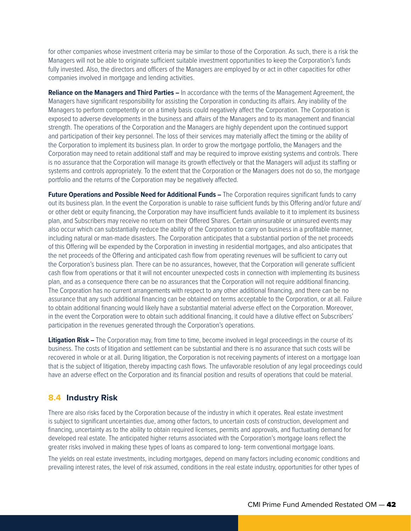for other companies whose investment criteria may be similar to those of the Corporation. As such, there is a risk the Managers will not be able to originate sufficient suitable investment opportunities to keep the Corporation's funds fully invested. Also, the directors and officers of the Managers are employed by or act in other capacities for other companies involved in mortgage and lending activities.

**Reliance on the Managers and Third Parties –** In accordance with the terms of the Management Agreement, the Managers have significant responsibility for assisting the Corporation in conducting its affairs. Any inability of the Managers to perform competently or on a timely basis could negatively affect the Corporation. The Corporation is exposed to adverse developments in the business and affairs of the Managers and to its management and financial strength. The operations of the Corporation and the Managers are highly dependent upon the continued support and participation of their key personnel. The loss of their services may materially affect the timing or the ability of the Corporation to implement its business plan. In order to grow the mortgage portfolio, the Managers and the Corporation may need to retain additional staff and may be required to improve existing systems and controls. There is no assurance that the Corporation will manage its growth effectively or that the Managers will adjust its staffing or systems and controls appropriately. To the extent that the Corporation or the Managers does not do so, the mortgage portfolio and the returns of the Corporation may be negatively affected.

**Future Operations and Possible Need for Additional Funds –** The Corporation requires significant funds to carry out its business plan. In the event the Corporation is unable to raise sufficient funds by this Offering and/or future and/ or other debt or equity financing, the Corporation may have insufficient funds available to it to implement its business plan, and Subscribers may receive no return on their Offered Shares. Certain uninsurable or uninsured events may also occur which can substantially reduce the ability of the Corporation to carry on business in a profitable manner, including natural or man-made disasters. The Corporation anticipates that a substantial portion of the net proceeds of this Offering will be expended by the Corporation in investing in residential mortgages, and also anticipates that the net proceeds of the Offering and anticipated cash flow from operating revenues will be sufficient to carry out the Corporation's business plan. There can be no assurances, however, that the Corporation will generate sufficient cash flow from operations or that it will not encounter unexpected costs in connection with implementing its business plan, and as a consequence there can be no assurances that the Corporation will not require additional financing. The Corporation has no current arrangements with respect to any other additional financing, and there can be no assurance that any such additional financing can be obtained on terms acceptable to the Corporation, or at all. Failure to obtain additional financing would likely have a substantial material adverse effect on the Corporation. Moreover, in the event the Corporation were to obtain such additional financing, it could have a dilutive effect on Subscribers' participation in the revenues generated through the Corporation's operations.

**Litigation Risk –** The Corporation may, from time to time, become involved in legal proceedings in the course of its business. The costs of litigation and settlement can be substantial and there is no assurance that such costs will be recovered in whole or at all. During litigation, the Corporation is not receiving payments of interest on a mortgage loan that is the subject of litigation, thereby impacting cash flows. The unfavorable resolution of any legal proceedings could have an adverse effect on the Corporation and its financial position and results of operations that could be material.

## **8.4 Industry Risk**

There are also risks faced by the Corporation because of the industry in which it operates. Real estate investment is subject to significant uncertainties due, among other factors, to uncertain costs of construction, development and financing, uncertainty as to the ability to obtain required licenses, permits and approvals, and fluctuating demand for developed real estate. The anticipated higher returns associated with the Corporation's mortgage loans reflect the greater risks involved in making these types of loans as compared to long- term conventional mortgage loans.

The yields on real estate investments, including mortgages, depend on many factors including economic conditions and prevailing interest rates, the level of risk assumed, conditions in the real estate industry, opportunities for other types of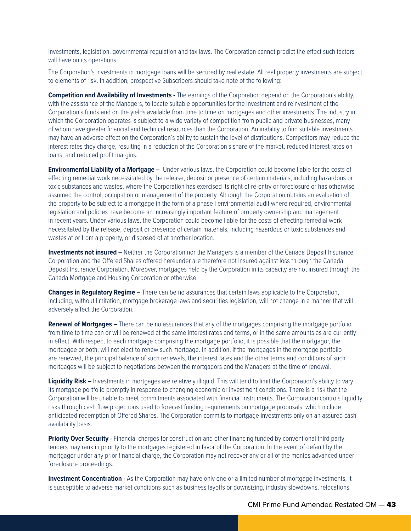investments, legislation, governmental regulation and tax laws. The Corporation cannot predict the effect such factors will have on its operations.

The Corporation's investments in mortgage loans will be secured by real estate. All real property investments are subject to elements of risk. In addition, prospective Subscribers should take note of the following:

**Competition and Availability of Investments -** The earnings of the Corporation depend on the Corporation's ability, with the assistance of the Managers, to locate suitable opportunities for the investment and reinvestment of the Corporation's funds and on the yields available from time to time on mortgages and other investments. The industry in which the Corporation operates is subject to a wide variety of competition from public and private businesses, many of whom have greater financial and technical resources than the Corporation. An inability to find suitable investments may have an adverse effect on the Corporation's ability to sustain the level of distributions. Competitors may reduce the interest rates they charge, resulting in a reduction of the Corporation's share of the market, reduced interest rates on loans, and reduced profit margins.

**Environmental Liability of a Mortgage –** Under various laws, the Corporation could become liable for the costs of effecting remedial work necessitated by the release, deposit or presence of certain materials, including hazardous or toxic substances and wastes, where the Corporation has exercised its right of re-entry or foreclosure or has otherwise assumed the control, occupation or management of the property. Although the Corporation obtains an evaluation of the property to be subject to a mortgage in the form of a phase I environmental audit where required, environmental legislation and policies have become an increasingly important feature of property ownership and management in recent years. Under various laws, the Corporation could become liable for the costs of effecting remedial work necessitated by the release, deposit or presence of certain materials, including hazardous or toxic substances and wastes at or from a property, or disposed of at another location.

**Investments not insured –** Neither the Corporation nor the Managers is a member of the Canada Deposit Insurance Corporation and the Offered Shares offered hereunder are therefore not insured against loss through the Canada Deposit Insurance Corporation. Moreover, mortgages held by the Corporation in its capacity are not insured through the Canada Mortgage and Housing Corporation or otherwise.

**Changes in Regulatory Regime –** There can be no assurances that certain laws applicable to the Corporation, including, without limitation, mortgage brokerage laws and securities legislation, will not change in a manner that will adversely affect the Corporation.

**Renewal of Mortgages –** There can be no assurances that any of the mortgages comprising the mortgage portfolio from time to time can or will be renewed at the same interest rates and terms, or in the same amounts as are currently in effect. With respect to each mortgage comprising the mortgage portfolio, it is possible that the mortgagor, the mortgagee or both, will not elect to renew such mortgage. In addition, if the mortgages in the mortgage portfolio are renewed, the principal balance of such renewals, the interest rates and the other terms and conditions of such mortgages will be subject to negotiations between the mortgagors and the Managers at the time of renewal.

Liquidity Risk – Investments in mortgages are relatively illiquid. This will tend to limit the Corporation's ability to vary its mortgage portfolio promptly in response to changing economic or investment conditions. There is a risk that the Corporation will be unable to meet commitments associated with financial instruments. The Corporation controls liquidity risks through cash flow projections used to forecast funding requirements on mortgage proposals, which include anticipated redemption of Offered Shares. The Corporation commits to mortgage investments only on an assured cash availability basis.

**Priority Over Security -** Financial charges for construction and other financing funded by conventional third party lenders may rank in priority to the mortgages registered in favor of the Corporation. In the event of default by the mortgagor under any prior financial charge, the Corporation may not recover any or all of the monies advanced under foreclosure proceedings.

**Investment Concentration -** As the Corporation may have only one or a limited number of mortgage investments, it is susceptible to adverse market conditions such as business layoffs or downsizing, industry slowdowns, relocations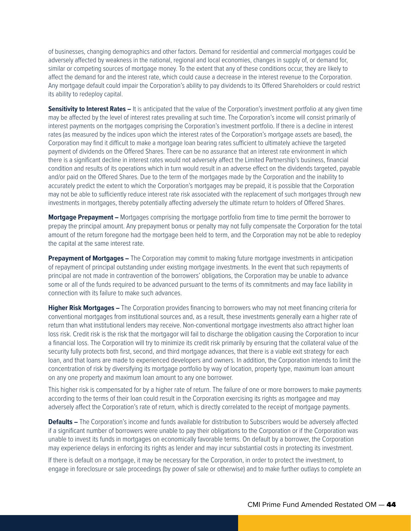of businesses, changing demographics and other factors. Demand for residential and commercial mortgages could be adversely affected by weakness in the national, regional and local economies, changes in supply of, or demand for, similar or competing sources of mortgage money. To the extent that any of these conditions occur, they are likely to affect the demand for and the interest rate, which could cause a decrease in the interest revenue to the Corporation. Any mortgage default could impair the Corporation's ability to pay dividends to its Offered Shareholders or could restrict its ability to redeploy capital.

**Sensitivity to Interest Rates –** It is anticipated that the value of the Corporation's investment portfolio at any given time may be affected by the level of interest rates prevailing at such time. The Corporation's income will consist primarily of interest payments on the mortgages comprising the Corporation's investment portfolio. If there is a decline in interest rates (as measured by the indices upon which the interest rates of the Corporation's mortgage assets are based), the Corporation may find it difficult to make a mortgage loan bearing rates sufficient to ultimately achieve the targeted payment of dividends on the Offered Shares. There can be no assurance that an interest rate environment in which there is a significant decline in interest rates would not adversely affect the Limited Partnership's business, financial condition and results of its operations which in turn would result in an adverse effect on the dividends targeted, payable and/or paid on the Offered Shares. Due to the term of the mortgages made by the Corporation and the inability to accurately predict the extent to which the Corporation's mortgages may be prepaid, it is possible that the Corporation may not be able to sufficiently reduce interest rate risk associated with the replacement of such mortgages through new investments in mortgages, thereby potentially affecting adversely the ultimate return to holders of Offered Shares.

**Mortgage Prepayment –** Mortgages comprising the mortgage portfolio from time to time permit the borrower to prepay the principal amount. Any prepayment bonus or penalty may not fully compensate the Corporation for the total amount of the return foregone had the mortgage been held to term, and the Corporation may not be able to redeploy the capital at the same interest rate.

**Prepayment of Mortgages –** The Corporation may commit to making future mortgage investments in anticipation of repayment of principal outstanding under existing mortgage investments. In the event that such repayments of principal are not made in contravention of the borrowers' obligations, the Corporation may be unable to advance some or all of the funds required to be advanced pursuant to the terms of its commitments and may face liability in connection with its failure to make such advances.

**Higher Risk Mortgages –** The Corporation provides financing to borrowers who may not meet financing criteria for conventional mortgages from institutional sources and, as a result, these investments generally earn a higher rate of return than what institutional lenders may receive. Non-conventional mortgage investments also attract higher loan loss risk. Credit risk is the risk that the mortgagor will fail to discharge the obligation causing the Corporation to incur a financial loss. The Corporation will try to minimize its credit risk primarily by ensuring that the collateral value of the security fully protects both first, second, and third mortgage advances, that there is a viable exit strategy for each loan, and that loans are made to experienced developers and owners. In addition, the Corporation intends to limit the concentration of risk by diversifying its mortgage portfolio by way of location, property type, maximum loan amount on any one property and maximum loan amount to any one borrower.

This higher risk is compensated for by a higher rate of return. The failure of one or more borrowers to make payments according to the terms of their loan could result in the Corporation exercising its rights as mortgagee and may adversely affect the Corporation's rate of return, which is directly correlated to the receipt of mortgage payments.

**Defaults –** The Corporation's income and funds available for distribution to Subscribers would be adversely affected if a significant number of borrowers were unable to pay their obligations to the Corporation or if the Corporation was unable to invest its funds in mortgages on economically favorable terms. On default by a borrower, the Corporation may experience delays in enforcing its rights as lender and may incur substantial costs in protecting its investment.

If there is default on a mortgage, it may be necessary for the Corporation, in order to protect the investment, to engage in foreclosure or sale proceedings (by power of sale or otherwise) and to make further outlays to complete an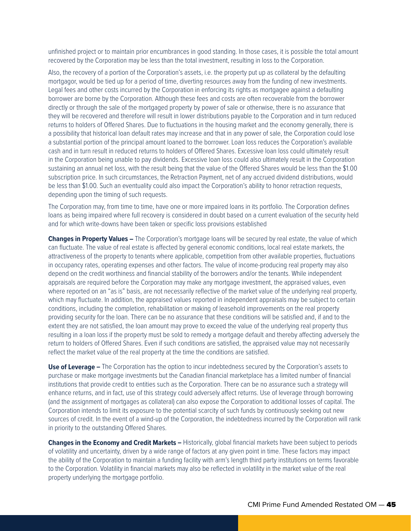unfinished project or to maintain prior encumbrances in good standing. In those cases, it is possible the total amount recovered by the Corporation may be less than the total investment, resulting in loss to the Corporation.

Also, the recovery of a portion of the Corporation's assets, i.e. the property put up as collateral by the defaulting mortgagor, would be tied up for a period of time, diverting resources away from the funding of new investments. Legal fees and other costs incurred by the Corporation in enforcing its rights as mortgagee against a defaulting borrower are borne by the Corporation. Although these fees and costs are often recoverable from the borrower directly or through the sale of the mortgaged property by power of sale or otherwise, there is no assurance that they will be recovered and therefore will result in lower distributions payable to the Corporation and in turn reduced returns to holders of Offered Shares. Due to fluctuations in the housing market and the economy generally, there is a possibility that historical loan default rates may increase and that in any power of sale, the Corporation could lose a substantial portion of the principal amount loaned to the borrower. Loan loss reduces the Corporation's available cash and in turn result in reduced returns to holders of Offered Shares. Excessive loan loss could ultimately result in the Corporation being unable to pay dividends. Excessive loan loss could also ultimately result in the Corporation sustaining an annual net loss, with the result being that the value of the Offered Shares would be less than the \$1.00 subscription price. In such circumstances, the Retraction Payment, net of any accrued dividend distributions, would be less than \$1.00. Such an eventuality could also impact the Corporation's ability to honor retraction requests, depending upon the timing of such requests.

The Corporation may, from time to time, have one or more impaired loans in its portfolio. The Corporation defines loans as being impaired where full recovery is considered in doubt based on a current evaluation of the security held and for which write-downs have been taken or specific loss provisions established

**Changes in Property Values –** The Corporation's mortgage loans will be secured by real estate, the value of which can fluctuate. The value of real estate is affected by general economic conditions, local real estate markets, the attractiveness of the property to tenants where applicable, competition from other available properties, fluctuations in occupancy rates, operating expenses and other factors. The value of income-producing real property may also depend on the credit worthiness and financial stability of the borrowers and/or the tenants. While independent appraisals are required before the Corporation may make any mortgage investment, the appraised values, even where reported on an "as is" basis, are not necessarily reflective of the market value of the underlying real property, which may fluctuate. In addition, the appraised values reported in independent appraisals may be subject to certain conditions, including the completion, rehabilitation or making of leasehold improvements on the real property providing security for the loan. There can be no assurance that these conditions will be satisfied and, if and to the extent they are not satisfied, the loan amount may prove to exceed the value of the underlying real property thus resulting in a loan loss if the property must be sold to remedy a mortgage default and thereby affecting adversely the return to holders of Offered Shares. Even if such conditions are satisfied, the appraised value may not necessarily reflect the market value of the real property at the time the conditions are satisfied.

**Use of Leverage –** The Corporation has the option to incur indebtedness secured by the Corporation's assets to purchase or make mortgage investments but the Canadian financial marketplace has a limited number of financial institutions that provide credit to entities such as the Corporation. There can be no assurance such a strategy will enhance returns, and in fact, use of this strategy could adversely affect returns. Use of leverage through borrowing (and the assignment of mortgages as collateral) can also expose the Corporation to additional losses of capital. The Corporation intends to limit its exposure to the potential scarcity of such funds by continuously seeking out new sources of credit. In the event of a wind-up of the Corporation, the indebtedness incurred by the Corporation will rank in priority to the outstanding Offered Shares.

**Changes in the Economy and Credit Markets –** Historically, global financial markets have been subject to periods of volatility and uncertainty, driven by a wide range of factors at any given point in time. These factors may impact the ability of the Corporation to maintain a funding facility with arm's length third party institutions on terms favorable to the Corporation. Volatility in financial markets may also be reflected in volatility in the market value of the real property underlying the mortgage portfolio.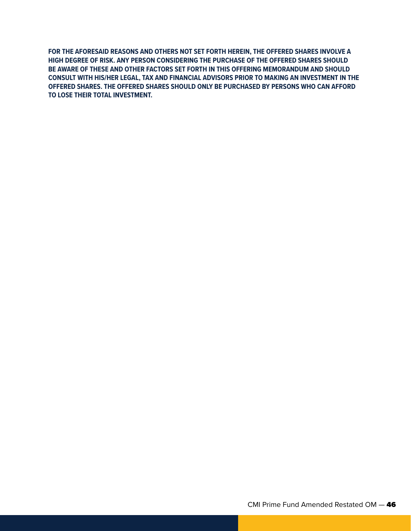**FOR THE AFORESAID REASONS AND OTHERS NOT SET FORTH HEREIN, THE OFFERED SHARES INVOLVE A HIGH DEGREE OF RISK. ANY PERSON CONSIDERING THE PURCHASE OF THE OFFERED SHARES SHOULD BE AWARE OF THESE AND OTHER FACTORS SET FORTH IN THIS OFFERING MEMORANDUM AND SHOULD CONSULT WITH HIS/HER LEGAL, TAX AND FINANCIAL ADVISORS PRIOR TO MAKING AN INVESTMENT IN THE OFFERED SHARES. THE OFFERED SHARES SHOULD ONLY BE PURCHASED BY PERSONS WHO CAN AFFORD TO LOSE THEIR TOTAL INVESTMENT.**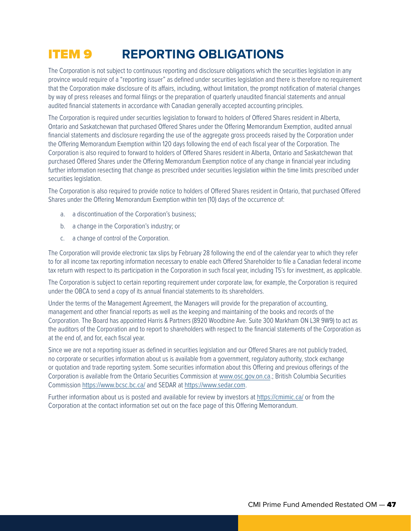## ITEM 9 **REPORTING OBLIGATIONS**

The Corporation is not subject to continuous reporting and disclosure obligations which the securities legislation in any province would require of a "reporting issuer" as defined under securities legislation and there is therefore no requirement that the Corporation make disclosure of its affairs, including, without limitation, the prompt notification of material changes by way of press releases and formal filings or the preparation of quarterly unaudited financial statements and annual audited financial statements in accordance with Canadian generally accepted accounting principles.

The Corporation is required under securities legislation to forward to holders of Offered Shares resident in Alberta, Ontario and Saskatchewan that purchased Offered Shares under the Offering Memorandum Exemption, audited annual financial statements and disclosure regarding the use of the aggregate gross proceeds raised by the Corporation under the Offering Memorandum Exemption within 120 days following the end of each fiscal year of the Corporation. The Corporation is also required to forward to holders of Offered Shares resident in Alberta, Ontario and Saskatchewan that purchased Offered Shares under the Offering Memorandum Exemption notice of any change in financial year including further information resecting that change as prescribed under securities legislation within the time limits prescribed under securities legislation.

The Corporation is also required to provide notice to holders of Offered Shares resident in Ontario, that purchased Offered Shares under the Offering Memorandum Exemption within ten (10) days of the occurrence of:

- a. a discontinuation of the Corporation's business;
- b. a change in the Corporation's industry; or
- c. a change of control of the Corporation.

The Corporation will provide electronic tax slips by February 28 following the end of the calendar year to which they refer to for all income tax reporting information necessary to enable each Offered Shareholder to file a Canadian federal income tax return with respect to its participation in the Corporation in such fiscal year, including T5's for investment, as applicable.

The Corporation is subject to certain reporting requirement under corporate law, for example, the Corporation is required under the OBCA to send a copy of its annual financial statements to its shareholders.

Under the terms of the Management Agreement, the Managers will provide for the preparation of accounting, management and other financial reports as well as the keeping and maintaining of the books and records of the Corporation. The Board has appointed Harris & Partners (8920 Woodbine Ave. Suite 300 Markham ON L3R 9W9) to act as the auditors of the Corporation and to report to shareholders with respect to the financial statements of the Corporation as at the end of, and for, each fiscal year.

Since we are not a reporting issuer as defined in securities legislation and our Offered Shares are not publicly traded, no corporate or securities information about us is available from a government, regulatory authority, stock exchange or quotation and trade reporting system. Some securities information about this Offering and previous offerings of the Corporation is available from the Ontario Securities Commission at [www.osc.gov.on.ca.](www.osc.gov.on.ca); British Columbia Securities Commission <https://www.bcsc.bc.ca/> and SEDAR at [https://www.sedar.com.](https://www.sedar.com)

Further information about us is posted and available for review by investors at<https://cmimic.ca/> or from the Corporation at the contact information set out on the face page of this Offering Memorandum.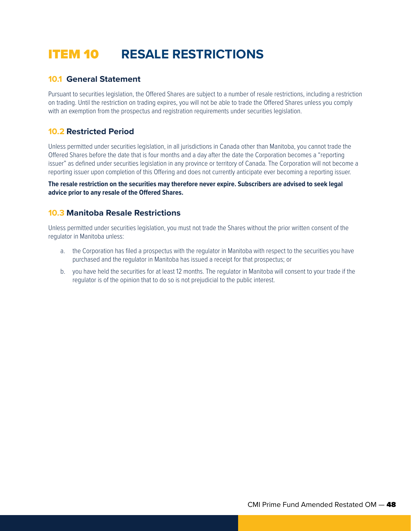## ITEM 10 **RESALE RESTRICTIONS**

## **10.1 General Statement**

Pursuant to securities legislation, the Offered Shares are subject to a number of resale restrictions, including a restriction on trading. Until the restriction on trading expires, you will not be able to trade the Offered Shares unless you comply with an exemption from the prospectus and registration requirements under securities legislation.

## **10.2 Restricted Period**

Unless permitted under securities legislation, in all jurisdictions in Canada other than Manitoba, you cannot trade the Offered Shares before the date that is four months and a day after the date the Corporation becomes a "reporting issuer" as defined under securities legislation in any province or territory of Canada. The Corporation will not become a reporting issuer upon completion of this Offering and does not currently anticipate ever becoming a reporting issuer.

**The resale restriction on the securities may therefore never expire. Subscribers are advised to seek legal advice prior to any resale of the Offered Shares.**

## **10.3 Manitoba Resale Restrictions**

Unless permitted under securities legislation, you must not trade the Shares without the prior written consent of the regulator in Manitoba unless:

- a. the Corporation has filed a prospectus with the regulator in Manitoba with respect to the securities you have purchased and the regulator in Manitoba has issued a receipt for that prospectus; or
- b. you have held the securities for at least 12 months. The regulator in Manitoba will consent to your trade if the regulator is of the opinion that to do so is not prejudicial to the public interest.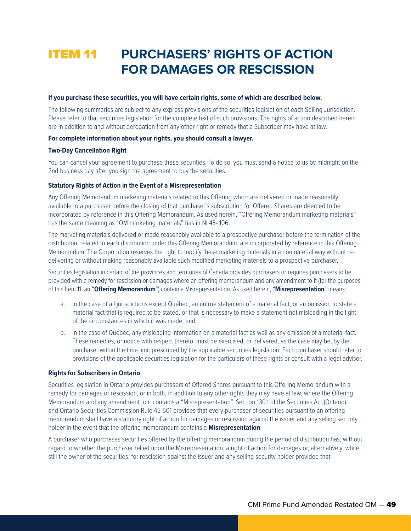## ITEM 11 **PURCHASERS' RIGHTS OF ACTION FOR DAMAGES OR RESCISSION**

#### **If you purchase these securities, you will have certain rights, some of which are described below.**

The following summaries are subject to any express provisions of the securities legislation of each Selling Jurisdiction. Please refer to that securities legislation for the complete text of such provisions. The rights of action described herein are in addition to and without derogation from any other right or remedy that a Subscriber may have at law.

#### **For complete information about your rights, you should consult a lawyer.**

#### **Two-Day Cancellation Right**

You can cancel your agreement to purchase these securities. To do so, you must send a notice to us by midnight on the 2nd business day after you sign the agreement to buy the securities.

#### **Statutory Rights of Action in the Event of a Misrepresentation**

Any Offering Memorandum marketing materials related to this Offering which are delivered or made reasonably available to a purchaser before the closing of that purchaser's subscription for Offered Shares are deemed to be incorporated by reference in this Offering Memorandum. As used herein, "Offering Memorandum marketing materials" has the same meaning as "OM marketing materials" has in NI 45- 106.

The marketing materials delivered or made reasonably available to a prospective purchaser before the termination of the distribution, related to each distribution under this Offering Memorandum, are incorporated by reference in this Offering Memorandum. The Corporation reserves the right to modify these marketing materials in a nonmaterial way without redelivering or without making reasonably available such modified marketing materials to a prospective purchaser.

Securities legislation in certain of the provinces and territories of Canada provides purchasers or requires purchasers to be provided with a remedy for rescission or damages where an offering memorandum and any amendment to it (for the purposes of this Item 11, an "**Offering Memorandum**") contain a Misrepresentation. As used herein, "**Misrepresentation**" means:

- a. in the case of all jurisdictions except Québec, an untrue statement of a material fact, or an omission to state a material fact that is required to be stated, or that is necessary to make a statement not misleading in the light of the circumstances in which it was made; and
- b. in the case of Québec, any misleading information on a material fact as well as any omission of a material fact. These remedies, or notice with respect thereto, must be exercised, or delivered, as the case may be, by the purchaser within the time limit prescribed by the applicable securities legislation. Each purchaser should refer to provisions of the applicable securities legislation for the particulars of these rights or consult with a legal advisor.

#### **Rights for Subscribers in Ontario**

Securities legislation in Ontario provides purchasers of Offered Shares pursuant to this Offering Memorandum with a remedy for damages or rescission, or in both, in addition to any other rights they may have at law, where the Offering Memorandum and any amendment to it contains a "Misrepresentation". Section 130.1 of the Securities Act (Ontario) and Ontario Securities Commission Rule 45-501 provides that every purchaser of securities pursuant to an offering memorandum shall have a statutory right of action for damages or rescission against the issuer and any selling security holder in the event that the offering memorandum contains a **Misrepresentation**.

A purchaser who purchases securities offered by the offering memorandum during the period of distribution has, without regard to whether the purchaser relied upon the Misrepresentation, a right of action for damages or, alternatively, while still the owner of the securities, for rescission against the issuer and any selling security holder provided that: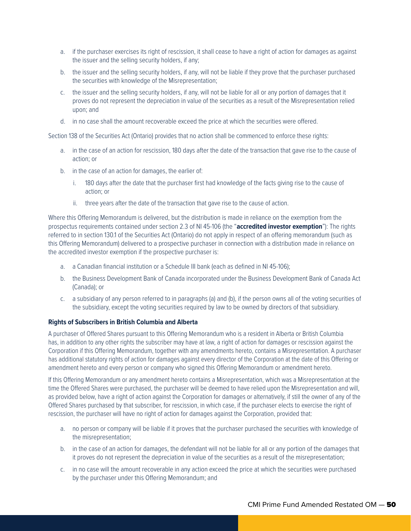- a. if the purchaser exercises its right of rescission, it shall cease to have a right of action for damages as against the issuer and the selling security holders, if any;
- b. the issuer and the selling security holders, if any, will not be liable if they prove that the purchaser purchased the securities with knowledge of the Misrepresentation;
- c. the issuer and the selling security holders, if any, will not be liable for all or any portion of damages that it proves do not represent the depreciation in value of the securities as a result of the Misrepresentation relied upon; and
- d. in no case shall the amount recoverable exceed the price at which the securities were offered.

Section 138 of the Securities Act (Ontario) provides that no action shall be commenced to enforce these rights:

- a. in the case of an action for rescission, 180 days after the date of the transaction that gave rise to the cause of action; or
- b. in the case of an action for damages, the earlier of:
	- i. 180 days after the date that the purchaser first had knowledge of the facts giving rise to the cause of action; or
	- ii. three years after the date of the transaction that gave rise to the cause of action.

Where this Offering Memorandum is delivered, but the distribution is made in reliance on the exemption from the prospectus requirements contained under section 2.3 of NI 45-106 (the "**accredited investor exemption**"): The rights referred to in section 130.1 of the Securities Act (Ontario) do not apply in respect of an offering memorandum (such as this Offering Memorandum) delivered to a prospective purchaser in connection with a distribution made in reliance on the accredited investor exemption if the prospective purchaser is:

- a. a Canadian financial institution or a Schedule III bank (each as defined in NI 45-106);
- b. the Business Development Bank of Canada incorporated under the Business Development Bank of Canada Act (Canada); or
- c. a subsidiary of any person referred to in paragraphs (a) and (b), if the person owns all of the voting securities of the subsidiary, except the voting securities required by law to be owned by directors of that subsidiary.

#### **Rights of Subscribers in British Columbia and Alberta**

A purchaser of Offered Shares pursuant to this Offering Memorandum who is a resident in Alberta or British Columbia has, in addition to any other rights the subscriber may have at law, a right of action for damages or rescission against the Corporation if this Offering Memorandum, together with any amendments hereto, contains a Misrepresentation. A purchaser has additional statutory rights of action for damages against every director of the Corporation at the date of this Offering or amendment hereto and every person or company who signed this Offering Memorandum or amendment hereto.

If this Offering Memorandum or any amendment hereto contains a Misrepresentation, which was a Misrepresentation at the time the Offered Shares were purchased, the purchaser will be deemed to have relied upon the Misrepresentation and will, as provided below, have a right of action against the Corporation for damages or alternatively, if still the owner of any of the Offered Shares purchased by that subscriber, for rescission, in which case, if the purchaser elects to exercise the right of rescission, the purchaser will have no right of action for damages against the Corporation, provided that:

- a. no person or company will be liable if it proves that the purchaser purchased the securities with knowledge of the misrepresentation;
- b. in the case of an action for damages, the defendant will not be liable for all or any portion of the damages that it proves do not represent the depreciation in value of the securities as a result of the misrepresentation;
- c. in no case will the amount recoverable in any action exceed the price at which the securities were purchased by the purchaser under this Offering Memorandum; and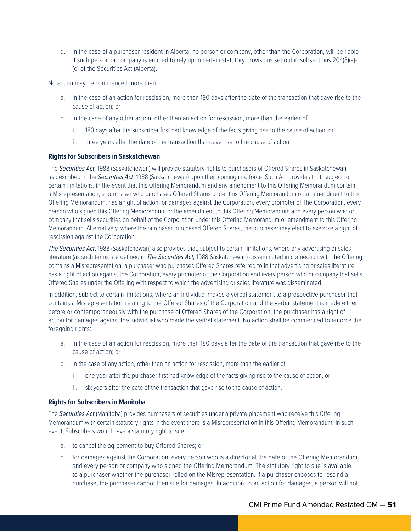d. in the case of a purchaser resident in Alberta, no person or company, other than the Corporation, will be liable if such person or company is entitled to rely upon certain statutory provisions set out in subsections 204(3)(a)- (e) of the Securities Act (Alberta).

No action may be commenced more than:

- a. in the case of an action for rescission, more than 180 days after the date of the transaction that gave rise to the cause of action; or
- b. in the case of any other action, other than an action for rescission, more than the earlier of
	- i. 180 days after the subscriber first had knowledge of the facts giving rise to the cause of action; or
	- ii. three years after the date of the transaction that gave rise to the cause of action.

#### **Rights for Subscribers in Saskatchewan**

The *Securities Act,* 1988 (Saskatchewan) will provide statutory rights to purchasers of Offered Shares in Saskatchewan as described in the *Securities Act*, 1988 (Saskatchewan) upon their coming into force. Such Act provides that, subject to certain limitations, in the event that this Offering Memorandum and any amendment to this Offering Memorandum contain a Misrepresentation, a purchaser who purchases Offered Shares under this Offering Memorandum or an amendment to this Offering Memorandum, has a right of action for damages against the Corporation, every promoter of The Corporation, every person who signed this Offering Memorandum or the amendment to this Offering Memorandum and every person who or company that sells securities on behalf of the Corporation under this Offering Memorandum or amendment to this Offering Memorandum. Alternatively, where the purchaser purchased Offered Shares, the purchaser may elect to exercise a right of rescission against the Corporation.

*The Securities Act*, 1988 (Saskatchewan) also provides that, subject to certain limitations, where any advertising or sales literature (as such terms are defined in *The Securities Act,* 1988 Saskatchewan) disseminated in connection with the Offering contains a Misrepresentation, a purchaser who purchases Offered Shares referred to in that advertising or sales literature has a right of action against the Corporation, every promoter of the Corporation and every person who or company that sells Offered Shares under the Offering with respect to which the advertising or sales literature was disseminated.

In addition, subject to certain limitations, where an individual makes a verbal statement to a prospective purchaser that contains a Misrepresentation relating to the Offered Shares of the Corporation and the verbal statement is made either before or contemporaneously with the purchase of Offered Shares of the Corporation, the purchaser has a right of action for damages against the individual who made the verbal statement. No action shall be commenced to enforce the foregoing rights:

- a. in the case of an action for rescission, more than 180 days after the date of the transaction that gave rise to the cause of action; or
- b. in the case of any action, other than an action for rescission, more than the earlier of
	- i. one year after the purchaser first had knowledge of the facts giving rise to the cause of action, or
	- ii. six years after the date of the transaction that gave rise to the cause of action.

#### **Rights for Subscribers in Manitoba**

The *Securities Act* (Manitoba) provides purchasers of securities under a private placement who receive this Offering Memorandum with certain statutory rights in the event there is a Misrepresentation in this Offering Memorandum. In such event, Subscribers would have a statutory right to sue:

- a. to cancel the agreement to buy Offered Shares; or
- b. for damages against the Corporation, every person who is a director at the date of the Offering Memorandum, and every person or company who signed the Offering Memorandum. The statutory right to sue is available to a purchaser whether the purchaser relied on the Misrepresentation. If a purchaser chooses to rescind a purchase, the purchaser cannot then sue for damages. In addition, in an action for damages, a person will not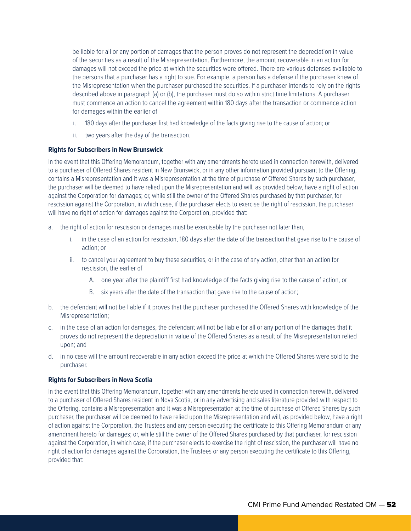be liable for all or any portion of damages that the person proves do not represent the depreciation in value of the securities as a result of the Misrepresentation. Furthermore, the amount recoverable in an action for damages will not exceed the price at which the securities were offered. There are various defenses available to the persons that a purchaser has a right to sue. For example, a person has a defense if the purchaser knew of the Misrepresentation when the purchaser purchased the securities. If a purchaser intends to rely on the rights described above in paragraph (a) or (b), the purchaser must do so within strict time limitations. A purchaser must commence an action to cancel the agreement within 180 days after the transaction or commence action for damages within the earlier of

- i. 180 days after the purchaser first had knowledge of the facts giving rise to the cause of action; or
- ii. two years after the day of the transaction.

#### **Rights for Subscribers in New Brunswick**

In the event that this Offering Memorandum, together with any amendments hereto used in connection herewith, delivered to a purchaser of Offered Shares resident in New Brunswick, or in any other information provided pursuant to the Offering, contains a Misrepresentation and it was a Misrepresentation at the time of purchase of Offered Shares by such purchaser, the purchaser will be deemed to have relied upon the Misrepresentation and will, as provided below, have a right of action against the Corporation for damages; or, while still the owner of the Offered Shares purchased by that purchaser, for rescission against the Corporation, in which case, if the purchaser elects to exercise the right of rescission, the purchaser will have no right of action for damages against the Corporation, provided that:

- a. the right of action for rescission or damages must be exercisable by the purchaser not later than,
	- i. in the case of an action for rescission, 180 days after the date of the transaction that gave rise to the cause of action; or
	- ii. to cancel your agreement to buy these securities, or in the case of any action, other than an action for rescission, the earlier of
		- A. one year after the plaintiff first had knowledge of the facts giving rise to the cause of action, or
		- B. six years after the date of the transaction that gave rise to the cause of action;
- b. the defendant will not be liable if it proves that the purchaser purchased the Offered Shares with knowledge of the Misrepresentation;
- c. in the case of an action for damages, the defendant will not be liable for all or any portion of the damages that it proves do not represent the depreciation in value of the Offered Shares as a result of the Misrepresentation relied upon; and
- d. in no case will the amount recoverable in any action exceed the price at which the Offered Shares were sold to the purchaser.

#### **Rights for Subscribers in Nova Scotia**

In the event that this Offering Memorandum, together with any amendments hereto used in connection herewith, delivered to a purchaser of Offered Shares resident in Nova Scotia, or in any advertising and sales literature provided with respect to the Offering, contains a Misrepresentation and it was a Misrepresentation at the time of purchase of Offered Shares by such purchaser, the purchaser will be deemed to have relied upon the Misrepresentation and will, as provided below, have a right of action against the Corporation, the Trustees and any person executing the certificate to this Offering Memorandum or any amendment hereto for damages; or, while still the owner of the Offered Shares purchased by that purchaser, for rescission against the Corporation, in which case, if the purchaser elects to exercise the right of rescission, the purchaser will have no right of action for damages against the Corporation, the Trustees or any person executing the certificate to this Offering, provided that: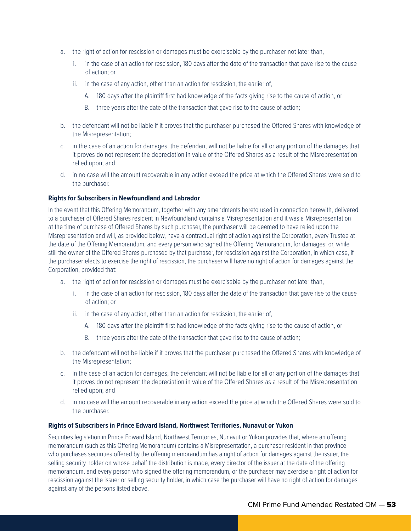- a. the right of action for rescission or damages must be exercisable by the purchaser not later than,
	- i. in the case of an action for rescission, 180 days after the date of the transaction that gave rise to the cause of action; or
	- ii. in the case of any action, other than an action for rescission, the earlier of,
		- A. 180 days after the plaintiff first had knowledge of the facts giving rise to the cause of action, or
		- B. three years after the date of the transaction that gave rise to the cause of action;
- b. the defendant will not be liable if it proves that the purchaser purchased the Offered Shares with knowledge of the Misrepresentation;
- c. in the case of an action for damages, the defendant will not be liable for all or any portion of the damages that it proves do not represent the depreciation in value of the Offered Shares as a result of the Misrepresentation relied upon; and
- d. in no case will the amount recoverable in any action exceed the price at which the Offered Shares were sold to the purchaser.

#### **Rights for Subscribers in Newfoundland and Labrador**

In the event that this Offering Memorandum, together with any amendments hereto used in connection herewith, delivered to a purchaser of Offered Shares resident in Newfoundland contains a Misrepresentation and it was a Misrepresentation at the time of purchase of Offered Shares by such purchaser, the purchaser will be deemed to have relied upon the Misrepresentation and will, as provided below, have a contractual right of action against the Corporation, every Trustee at the date of the Offering Memorandum, and every person who signed the Offering Memorandum, for damages; or, while still the owner of the Offered Shares purchased by that purchaser, for rescission against the Corporation, in which case, if the purchaser elects to exercise the right of rescission, the purchaser will have no right of action for damages against the Corporation, provided that:

- a. the right of action for rescission or damages must be exercisable by the purchaser not later than,
	- i. in the case of an action for rescission, 180 days after the date of the transaction that gave rise to the cause of action; or
	- ii. in the case of any action, other than an action for rescission, the earlier of,
		- A. 180 days after the plaintiff first had knowledge of the facts giving rise to the cause of action, or
		- B. three years after the date of the transaction that gave rise to the cause of action;
- b. the defendant will not be liable if it proves that the purchaser purchased the Offered Shares with knowledge of the Misrepresentation;
- c. in the case of an action for damages, the defendant will not be liable for all or any portion of the damages that it proves do not represent the depreciation in value of the Offered Shares as a result of the Misrepresentation relied upon; and
- d. in no case will the amount recoverable in any action exceed the price at which the Offered Shares were sold to the purchaser.

#### **Rights of Subscribers in Prince Edward Island, Northwest Territories, Nunavut or Yukon**

Securities legislation in Prince Edward Island, Northwest Territories, Nunavut or Yukon provides that, where an offering memorandum (such as this Offering Memorandum) contains a Misrepresentation, a purchaser resident in that province who purchases securities offered by the offering memorandum has a right of action for damages against the issuer, the selling security holder on whose behalf the distribution is made, every director of the issuer at the date of the offering memorandum, and every person who signed the offering memorandum, or the purchaser may exercise a right of action for rescission against the issuer or selling security holder, in which case the purchaser will have no right of action for damages against any of the persons listed above.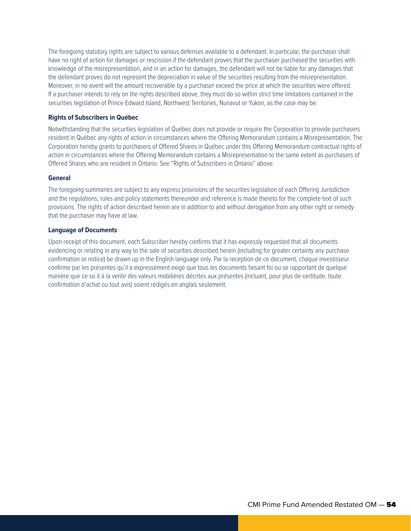The foregoing statutory rights are subject to various defenses available to a defendant. In particular, the purchaser shall have no right of action for damages or rescission if the defendant proves that the purchaser purchased the securities with knowledge of the misrepresentation, and in an action for damages, the defendant will not be liable for any damages that the defendant proves do not represent the depreciation in value of the securities resulting from the misrepresentation. Moreover, in no event will the amount recoverable by a purchaser exceed the price at which the securities were offered. If a purchaser intends to rely on the rights described above, they must do so within strict time limitations contained in the securities legislation of Prince Edward Island, Northwest Territories, Nunavut or Yukon, as the case may be.

#### **Rights of Subscribers in Québec**

Notwithstanding that the securities legislation of Québec does not provide or require the Corporation to provide purchasers resident in Québec any rights of action in circumstances where the Offering Memorandum contains a Misrepresentation, The Corporation hereby grants to purchasers of Offered Shares in Québec under this Offering Memorandum contractual rights of action in circumstances where the Offering Memorandum contains a Misrepresentation to the same extent as purchasers of Offered Shares who are resident in Ontario. See "Rights of Subscribers in Ontario" above.

#### **General**

The foregoing summaries are subject to any express provisions of the securities legislation of each Offering Jurisdiction and the regulations, rules and policy statements thereunder and reference is made thereto for the complete text of such provisions. The rights of action described herein are in addition to and without derogation from any other right or remedy that the purchaser may have at law.

#### **Language of Documents**

Upon receipt of this document, each Subscriber hereby confirms that it has expressly requested that all documents evidencing or relating in any way to the sale of securities described herein (including for greater certainty any purchase confirmation or notice) be drawn up in the English language only. Par la reception de ce document, chaque investisseur confirme par les présentes qu'il a expressément exigé que tous les documents faisant foi ou se rapportant de quelque manière que ce so it à la vente des valeurs mobilières décrites aux présentes (incluant, pour plus de certitude, toute confirmation d'achat ou tout avis) soient rédigés en anglais seulement.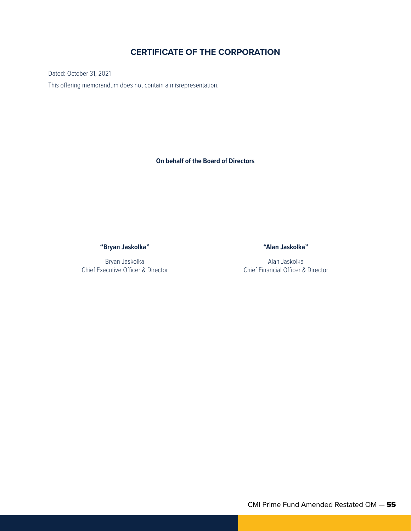## **CERTIFICATE OF THE CORPORATION**

Dated: October 31, 2021 This offering memorandum does not contain a misrepresentation.

**On behalf of the Board of Directors**

**"Bryan Jaskolka"**

Bryan Jaskolka Chief Executive Officer & Director **"Alan Jaskolka"**

Alan Jaskolka Chief Financial Officer & Director